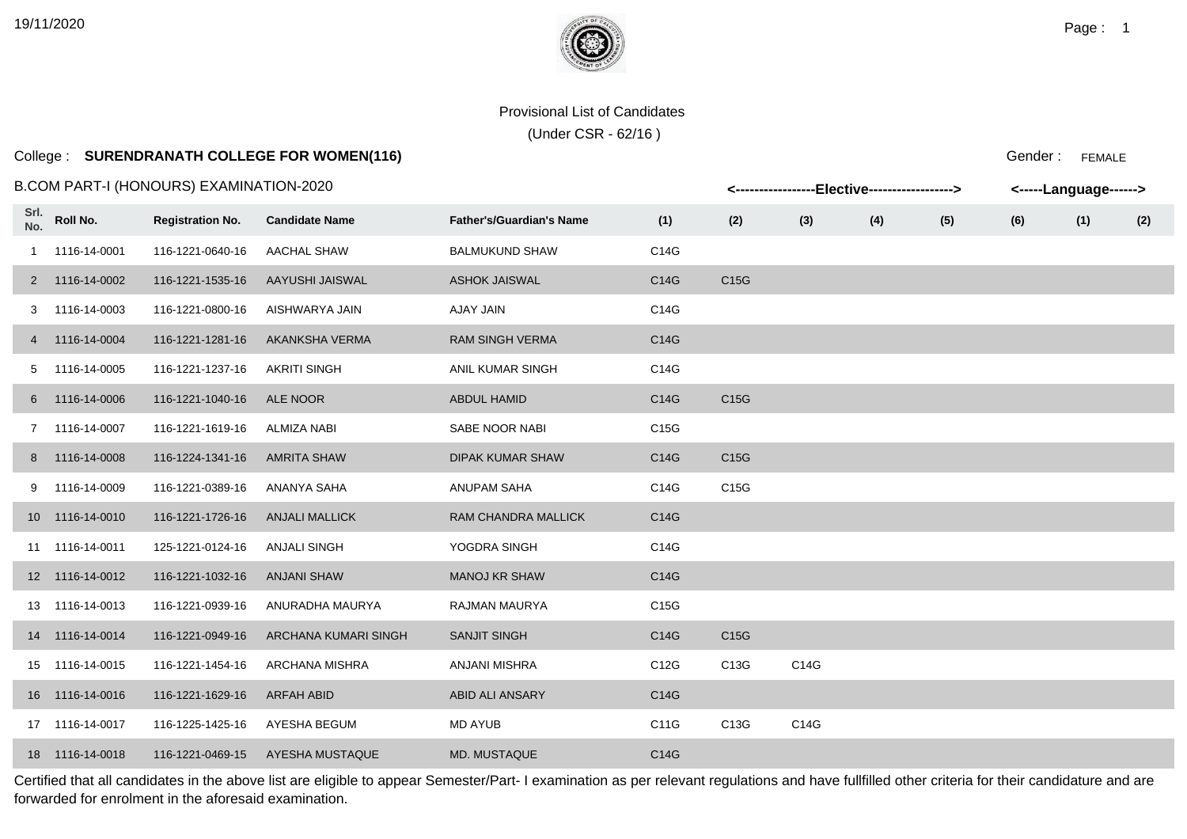# College : **SURENDRANATH COLLEGE FOR WOMEN(116)**

#### B.COM PART-I (HONOURS) EXAMINATION-2020

|             |                 | .COM PART-I (HONOURS) EXAMINATION-2020 |                       |                                 |                   | <-----------------Elective-----------------> |      |     |     |     | <-----Language------> |     |
|-------------|-----------------|----------------------------------------|-----------------------|---------------------------------|-------------------|----------------------------------------------|------|-----|-----|-----|-----------------------|-----|
| Srl.<br>No. | Roll No.        | <b>Registration No.</b>                | <b>Candidate Name</b> | <b>Father's/Guardian's Name</b> | (1)               | (2)                                          | (3)  | (4) | (5) | (6) | (1)                   | (2) |
|             | 1 1116-14-0001  | 116-1221-0640-16                       | <b>AACHAL SHAW</b>    | <b>BALMUKUND SHAW</b>           | C14G              |                                              |      |     |     |     |                       |     |
|             | 2 1116-14-0002  | 116-1221-1535-16                       | AAYUSHI JAISWAL       | <b>ASHOK JAISWAL</b>            | C14G              | C15G                                         |      |     |     |     |                       |     |
|             | 3 1116-14-0003  | 116-1221-0800-16                       | AISHWARYA JAIN        | AJAY JAIN                       | C14G              |                                              |      |     |     |     |                       |     |
|             | 4 1116-14-0004  | 116-1221-1281-16                       | AKANKSHA VERMA        | <b>RAM SINGH VERMA</b>          | C14G              |                                              |      |     |     |     |                       |     |
|             | 5 1116-14-0005  | 116-1221-1237-16                       | <b>AKRITI SINGH</b>   | ANIL KUMAR SINGH                | C14G              |                                              |      |     |     |     |                       |     |
|             | 6 1116-14-0006  | 116-1221-1040-16                       | ALE NOOR              | <b>ABDUL HAMID</b>              | C14G              | C15G                                         |      |     |     |     |                       |     |
|             | 7 1116-14-0007  | 116-1221-1619-16                       | ALMIZA NABI           | SABE NOOR NABI                  | C <sub>15</sub> G |                                              |      |     |     |     |                       |     |
|             | 8 1116-14-0008  | 116-1224-1341-16                       | <b>AMRITA SHAW</b>    | <b>DIPAK KUMAR SHAW</b>         | C14G              | C <sub>15</sub> G                            |      |     |     |     |                       |     |
|             | 9 1116-14-0009  | 116-1221-0389-16                       | ANANYA SAHA           | ANUPAM SAHA                     | C14G              | C15G                                         |      |     |     |     |                       |     |
|             | 10 1116-14-0010 | 116-1221-1726-16                       | <b>ANJALI MALLICK</b> | RAM CHANDRA MALLICK             | C14G              |                                              |      |     |     |     |                       |     |
|             | 11 1116-14-0011 | 125-1221-0124-16                       | <b>ANJALI SINGH</b>   | YOGDRA SINGH                    | C14G              |                                              |      |     |     |     |                       |     |
|             | 12 1116-14-0012 | 116-1221-1032-16                       | <b>ANJANI SHAW</b>    | <b>MANOJ KR SHAW</b>            | C14G              |                                              |      |     |     |     |                       |     |
|             | 13 1116-14-0013 | 116-1221-0939-16                       | ANURADHA MAURYA       | RAJMAN MAURYA                   | C15G              |                                              |      |     |     |     |                       |     |
|             | 14 1116-14-0014 | 116-1221-0949-16                       | ARCHANA KUMARI SINGH  | <b>SANJIT SINGH</b>             | C14G              | C <sub>15</sub> G                            |      |     |     |     |                       |     |
|             | 15 1116-14-0015 | 116-1221-1454-16                       | ARCHANA MISHRA        | ANJANI MISHRA                   | C12G              | C13G                                         | C14G |     |     |     |                       |     |
|             | 16 1116-14-0016 | 116-1221-1629-16                       | ARFAH ABID            | <b>ABID ALI ANSARY</b>          | C14G              |                                              |      |     |     |     |                       |     |
|             | 17 1116-14-0017 | 116-1225-1425-16                       | AYESHA BEGUM          | <b>MD AYUB</b>                  | C11G              | C13G                                         | C14G |     |     |     |                       |     |
|             | 18 1116-14-0018 | 116-1221-0469-15                       | AYESHA MUSTAQUE       | <b>MD. MUSTAQUE</b>             | C14G              |                                              |      |     |     |     |                       |     |

Certified that all candidates in the above list are eligible to appear Semester/Part- I examination as per relevant regulations and have fullfilled other criteria for their candidature and are forwarded for enrolment in the aforesaid examination.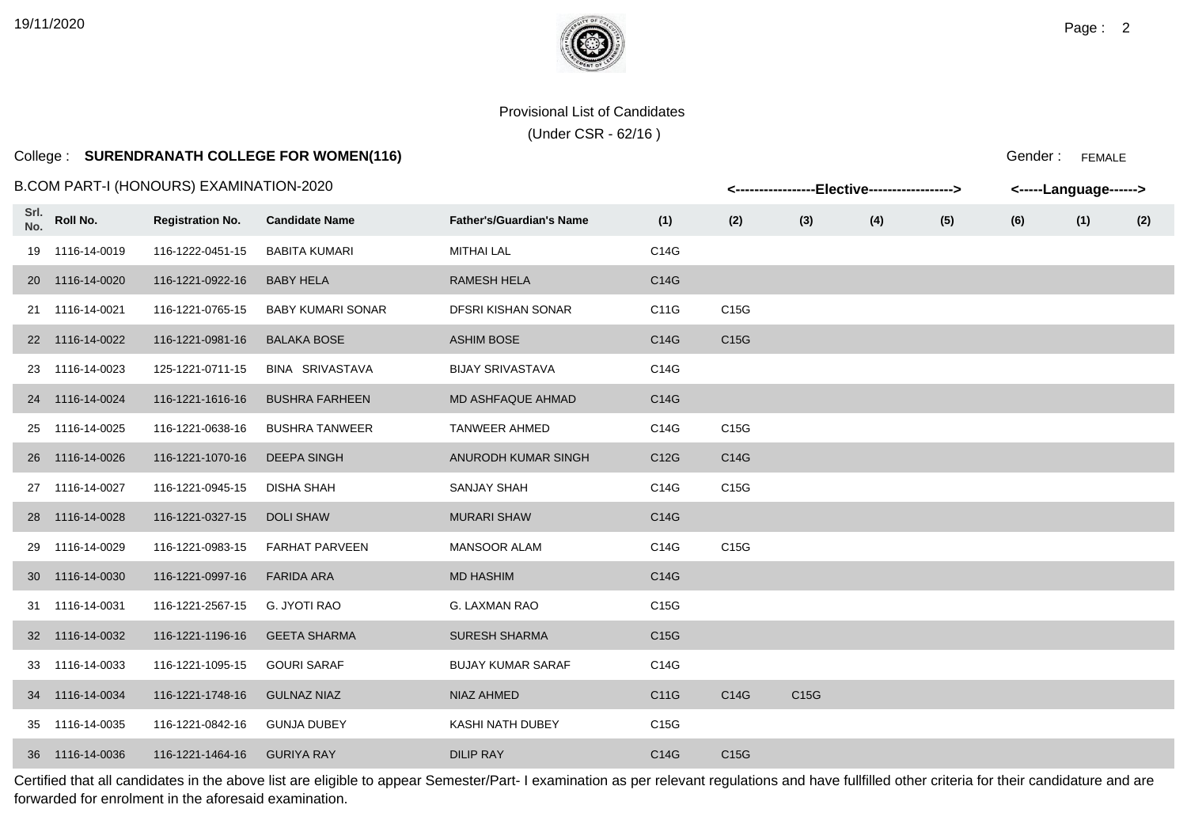# College : **SURENDRANATH COLLEGE FOR WOMEN(116)**

#### B.COM PART-I (HONOURS) EXAMINATION-2020

|             |                 | B.COM PART-I (HONOURS) EXAMINATION-2020 |                          |                                 |      |      | <-----------------Elective-----------------> |     |     | <-----Language------> |     |     |
|-------------|-----------------|-----------------------------------------|--------------------------|---------------------------------|------|------|----------------------------------------------|-----|-----|-----------------------|-----|-----|
| Srl.<br>No. | Roll No.        | <b>Registration No.</b>                 | <b>Candidate Name</b>    | <b>Father's/Guardian's Name</b> | (1)  | (2)  | (3)                                          | (4) | (5) | (6)                   | (1) | (2) |
|             | 19 1116-14-0019 | 116-1222-0451-15                        | <b>BABITA KUMARI</b>     | <b>MITHAI LAL</b>               | C14G |      |                                              |     |     |                       |     |     |
|             | 20 1116-14-0020 | 116-1221-0922-16                        | <b>BABY HELA</b>         | <b>RAMESH HELA</b>              | C14G |      |                                              |     |     |                       |     |     |
|             | 21 1116-14-0021 | 116-1221-0765-15                        | <b>BABY KUMARI SONAR</b> | DFSRI KISHAN SONAR              | C11G | C15G |                                              |     |     |                       |     |     |
|             | 22 1116-14-0022 | 116-1221-0981-16                        | <b>BALAKA BOSE</b>       | <b>ASHIM BOSE</b>               | C14G | C15G |                                              |     |     |                       |     |     |
|             | 23 1116-14-0023 | 125-1221-0711-15                        | <b>BINA SRIVASTAVA</b>   | <b>BIJAY SRIVASTAVA</b>         | C14G |      |                                              |     |     |                       |     |     |
|             | 24 1116-14-0024 | 116-1221-1616-16                        | <b>BUSHRA FARHEEN</b>    | MD ASHFAQUE AHMAD               | C14G |      |                                              |     |     |                       |     |     |
|             | 25 1116-14-0025 | 116-1221-0638-16                        | <b>BUSHRA TANWEER</b>    | <b>TANWEER AHMED</b>            | C14G | C15G |                                              |     |     |                       |     |     |
|             | 26 1116-14-0026 | 116-1221-1070-16                        | <b>DEEPA SINGH</b>       | ANURODH KUMAR SINGH             | C12G | C14G |                                              |     |     |                       |     |     |
|             | 27 1116-14-0027 | 116-1221-0945-15                        | DISHA SHAH               | <b>SANJAY SHAH</b>              | C14G | C15G |                                              |     |     |                       |     |     |
|             | 28 1116-14-0028 | 116-1221-0327-15                        | <b>DOLI SHAW</b>         | <b>MURARI SHAW</b>              | C14G |      |                                              |     |     |                       |     |     |
|             | 29 1116-14-0029 | 116-1221-0983-15                        | <b>FARHAT PARVEEN</b>    | <b>MANSOOR ALAM</b>             | C14G | C15G |                                              |     |     |                       |     |     |
|             | 30 1116-14-0030 | 116-1221-0997-16                        | <b>FARIDA ARA</b>        | <b>MD HASHIM</b>                | C14G |      |                                              |     |     |                       |     |     |
|             | 31 1116-14-0031 | 116-1221-2567-15                        | <b>G. JYOTI RAO</b>      | G. LAXMAN RAO                   | C15G |      |                                              |     |     |                       |     |     |
|             | 32 1116-14-0032 | 116-1221-1196-16                        | <b>GEETA SHARMA</b>      | <b>SURESH SHARMA</b>            | C15G |      |                                              |     |     |                       |     |     |
|             | 33 1116-14-0033 | 116-1221-1095-15                        | <b>GOURI SARAF</b>       | <b>BUJAY KUMAR SARAF</b>        | C14G |      |                                              |     |     |                       |     |     |
|             | 34 1116-14-0034 | 116-1221-1748-16                        | <b>GULNAZ NIAZ</b>       | NIAZ AHMED                      | C11G | C14G | C15G                                         |     |     |                       |     |     |
|             | 35 1116-14-0035 | 116-1221-0842-16                        | <b>GUNJA DUBEY</b>       | KASHI NATH DUBEY                | C15G |      |                                              |     |     |                       |     |     |
|             | 36 1116-14-0036 | 116-1221-1464-16                        | <b>GURIYA RAY</b>        | <b>DILIP RAY</b>                | C14G | C15G |                                              |     |     |                       |     |     |

Certified that all candidates in the above list are eligible to appear Semester/Part- I examination as per relevant regulations and have fullfilled other criteria for their candidature and are forwarded for enrolment in the aforesaid examination.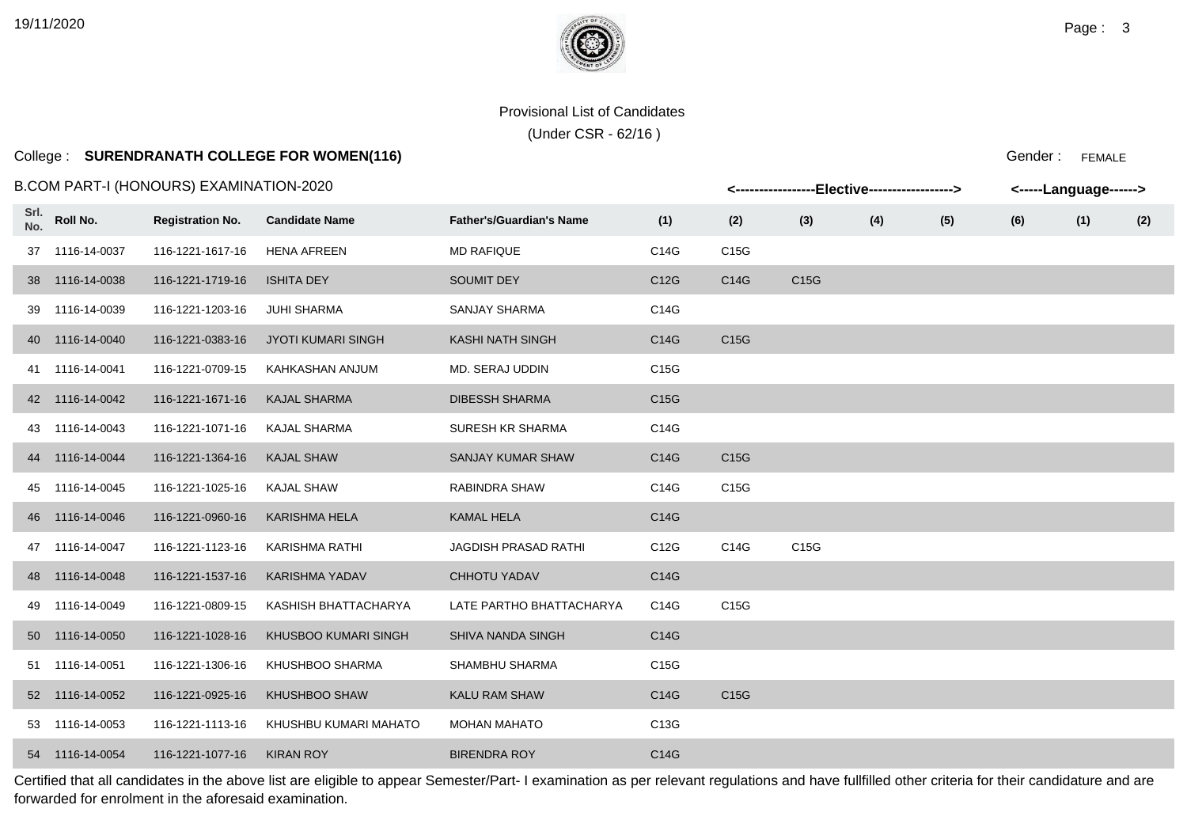### College : **SURENDRANATH COLLEGE FOR WOMEN(116)**

B.COM PART-I (HONOURS) EXAMINATION-2020

|             |                 | .COM PART-I (HONOURS) EXAMINATION-2020 |                           |                                 | <-----------------Elective-----------------> |                   |      |     |     |     | <-----Language------> |     |
|-------------|-----------------|----------------------------------------|---------------------------|---------------------------------|----------------------------------------------|-------------------|------|-----|-----|-----|-----------------------|-----|
| Srl.<br>No. | Roll No.        | <b>Registration No.</b>                | <b>Candidate Name</b>     | <b>Father's/Guardian's Name</b> | (1)                                          | (2)               | (3)  | (4) | (5) | (6) | (1)                   | (2) |
|             | 37 1116-14-0037 | 116-1221-1617-16                       | <b>HENA AFREEN</b>        | <b>MD RAFIQUE</b>               | C14G                                         | C15G              |      |     |     |     |                       |     |
|             | 38 1116-14-0038 | 116-1221-1719-16                       | <b>ISHITA DEY</b>         | <b>SOUMIT DEY</b>               | C12G                                         | C14G              | C15G |     |     |     |                       |     |
|             | 39 1116-14-0039 | 116-1221-1203-16                       | <b>JUHI SHARMA</b>        | <b>SANJAY SHARMA</b>            | C14G                                         |                   |      |     |     |     |                       |     |
|             | 40 1116-14-0040 | 116-1221-0383-16                       | <b>JYOTI KUMARI SINGH</b> | <b>KASHI NATH SINGH</b>         | C14G                                         | C <sub>15</sub> G |      |     |     |     |                       |     |
|             | 41 1116-14-0041 | 116-1221-0709-15                       | KAHKASHAN ANJUM           | MD. SERAJ UDDIN                 | C15G                                         |                   |      |     |     |     |                       |     |
|             | 42 1116-14-0042 | 116-1221-1671-16                       | <b>KAJAL SHARMA</b>       | <b>DIBESSH SHARMA</b>           | C15G                                         |                   |      |     |     |     |                       |     |
|             | 43 1116-14-0043 | 116-1221-1071-16                       | <b>KAJAL SHARMA</b>       | <b>SURESH KR SHARMA</b>         | C14G                                         |                   |      |     |     |     |                       |     |
|             | 44 1116-14-0044 | 116-1221-1364-16                       | <b>KAJAL SHAW</b>         | <b>SANJAY KUMAR SHAW</b>        | C14G                                         | C <sub>15</sub> G |      |     |     |     |                       |     |
|             | 45 1116-14-0045 | 116-1221-1025-16                       | <b>KAJAL SHAW</b>         | RABINDRA SHAW                   | C14G                                         | C15G              |      |     |     |     |                       |     |
|             | 46 1116-14-0046 | 116-1221-0960-16                       | <b>KARISHMA HELA</b>      | <b>KAMAL HELA</b>               | C14G                                         |                   |      |     |     |     |                       |     |
|             | 47 1116-14-0047 | 116-1221-1123-16                       | <b>KARISHMA RATHI</b>     | <b>JAGDISH PRASAD RATHI</b>     | C12G                                         | C14G              | C15G |     |     |     |                       |     |
|             | 48 1116-14-0048 | 116-1221-1537-16                       | <b>KARISHMA YADAV</b>     | <b>CHHOTU YADAV</b>             | C14G                                         |                   |      |     |     |     |                       |     |
|             | 49 1116-14-0049 | 116-1221-0809-15                       | KASHISH BHATTACHARYA      | LATE PARTHO BHATTACHARYA        | C14G                                         | C15G              |      |     |     |     |                       |     |
|             | 50 1116-14-0050 | 116-1221-1028-16                       | KHUSBOO KUMARI SINGH      | SHIVA NANDA SINGH               | C14G                                         |                   |      |     |     |     |                       |     |
|             | 51 1116-14-0051 | 116-1221-1306-16                       | KHUSHBOO SHARMA           | SHAMBHU SHARMA                  | C15G                                         |                   |      |     |     |     |                       |     |
|             | 52 1116-14-0052 | 116-1221-0925-16                       | KHUSHBOO SHAW             | <b>KALU RAM SHAW</b>            | C14G                                         | C15G              |      |     |     |     |                       |     |
|             | 53 1116-14-0053 | 116-1221-1113-16                       | KHUSHBU KUMARI MAHATO     | <b>MOHAN MAHATO</b>             | C13G                                         |                   |      |     |     |     |                       |     |
|             | 54 1116-14-0054 | 116-1221-1077-16                       | <b>KIRAN ROY</b>          | <b>BIRENDRA ROY</b>             | C14G                                         |                   |      |     |     |     |                       |     |

Certified that all candidates in the above list are eligible to appear Semester/Part- I examination as per relevant regulations and have fullfilled other criteria for their candidature and are forwarded for enrolment in the aforesaid examination.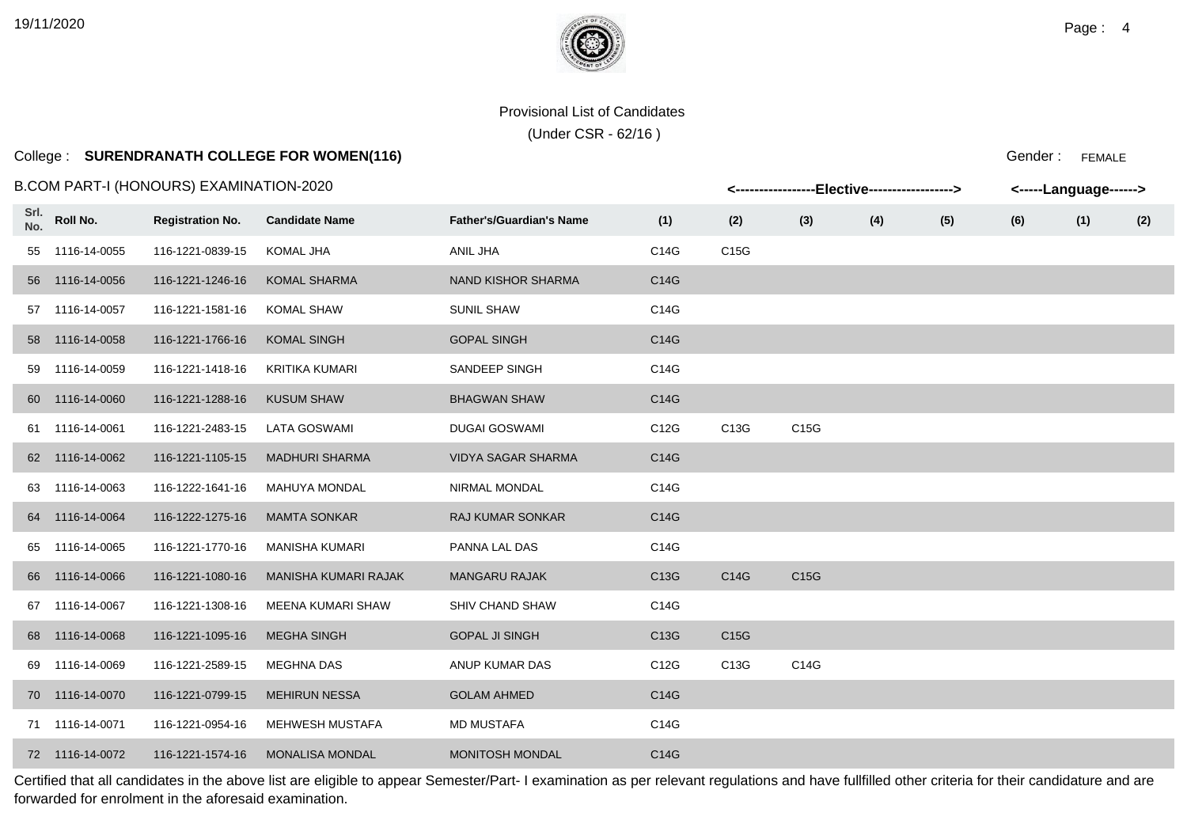(Under CSR - 62/16 )

# College : **SURENDRANATH COLLEGE FOR WOMEN(116)** College : FEMALE

B.COM PART-I (HONOURS) EXAMINATION-2020

| .Flactiva | -angunana Luur |  |
|-----------|----------------|--|
|           | Gender: FEMAI  |  |

|             |                 |                         |                        |                                 |      |      |      |     |     |     | --guugu |     |
|-------------|-----------------|-------------------------|------------------------|---------------------------------|------|------|------|-----|-----|-----|---------|-----|
| Srl.<br>No. | Roll No.        | <b>Registration No.</b> | <b>Candidate Name</b>  | <b>Father's/Guardian's Name</b> | (1)  | (2)  | (3)  | (4) | (5) | (6) | (1)     | (2) |
| 55          | 1116-14-0055    | 116-1221-0839-15        | <b>KOMAL JHA</b>       | ANIL JHA                        | C14G | C15G |      |     |     |     |         |     |
|             | 56 1116-14-0056 | 116-1221-1246-16        | <b>KOMAL SHARMA</b>    | NAND KISHOR SHARMA              | C14G |      |      |     |     |     |         |     |
|             | 57 1116-14-0057 | 116-1221-1581-16        | <b>KOMAL SHAW</b>      | <b>SUNIL SHAW</b>               | C14G |      |      |     |     |     |         |     |
|             | 58 1116-14-0058 | 116-1221-1766-16        | <b>KOMAL SINGH</b>     | <b>GOPAL SINGH</b>              | C14G |      |      |     |     |     |         |     |
| 59          | 1116-14-0059    | 116-1221-1418-16        | <b>KRITIKA KUMARI</b>  | SANDEEP SINGH                   | C14G |      |      |     |     |     |         |     |
|             | 60 1116-14-0060 | 116-1221-1288-16        | <b>KUSUM SHAW</b>      | <b>BHAGWAN SHAW</b>             | C14G |      |      |     |     |     |         |     |
|             | 61 1116-14-0061 | 116-1221-2483-15        | <b>LATA GOSWAMI</b>    | <b>DUGAI GOSWAMI</b>            | C12G | C13G | C15G |     |     |     |         |     |
|             | 62 1116-14-0062 | 116-1221-1105-15        | <b>MADHURI SHARMA</b>  | VIDYA SAGAR SHARMA              | C14G |      |      |     |     |     |         |     |
|             | 63 1116-14-0063 | 116-1222-1641-16        | <b>MAHUYA MONDAL</b>   | NIRMAL MONDAL                   | C14G |      |      |     |     |     |         |     |
|             | 64 1116-14-0064 | 116-1222-1275-16        | <b>MAMTA SONKAR</b>    | <b>RAJ KUMAR SONKAR</b>         | C14G |      |      |     |     |     |         |     |
|             | 65 1116-14-0065 | 116-1221-1770-16        | <b>MANISHA KUMARI</b>  | PANNA LAL DAS                   | C14G |      |      |     |     |     |         |     |
|             | 66 1116-14-0066 | 116-1221-1080-16        | MANISHA KUMARI RAJAK   | <b>MANGARU RAJAK</b>            | C13G | C14G | C15G |     |     |     |         |     |
|             | 67 1116-14-0067 | 116-1221-1308-16        | MEENA KUMARI SHAW      | SHIV CHAND SHAW                 | C14G |      |      |     |     |     |         |     |
|             | 68 1116-14-0068 | 116-1221-1095-16        | <b>MEGHA SINGH</b>     | <b>GOPAL JI SINGH</b>           | C13G | C15G |      |     |     |     |         |     |
| 69          | 1116-14-0069    | 116-1221-2589-15        | <b>MEGHNA DAS</b>      | ANUP KUMAR DAS                  | C12G | C13G | C14G |     |     |     |         |     |
|             | 70 1116-14-0070 | 116-1221-0799-15        | <b>MEHIRUN NESSA</b>   | <b>GOLAM AHMED</b>              | C14G |      |      |     |     |     |         |     |
|             | 71 1116-14-0071 | 116-1221-0954-16        | <b>MEHWESH MUSTAFA</b> | <b>MD MUSTAFA</b>               | C14G |      |      |     |     |     |         |     |
|             | 72 1116-14-0072 | 116-1221-1574-16        | <b>MONALISA MONDAL</b> | MONITOSH MONDAL                 | C14G |      |      |     |     |     |         |     |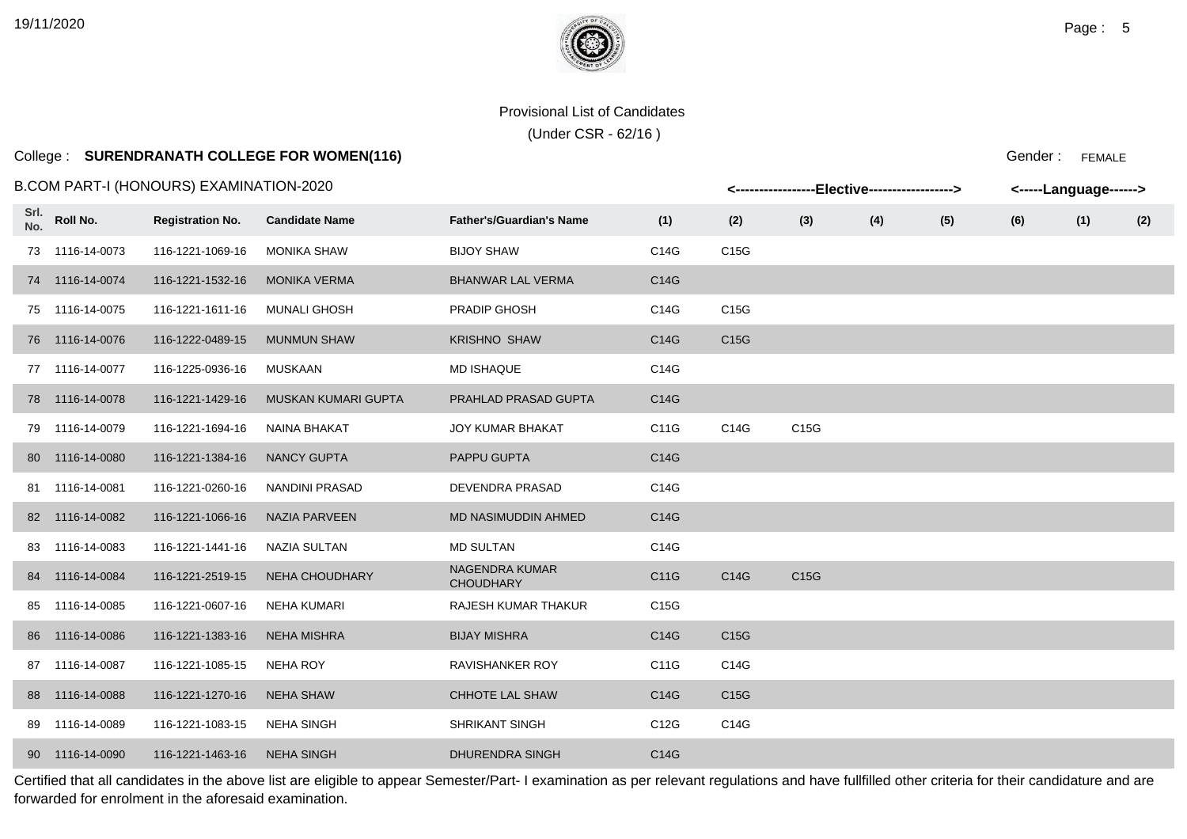# College : **SURENDRANATH COLLEGE FOR WOMEN(116)**

#### B.COM PART-I (HONOURS) EXAMINATION-2020

|             |                 | 3.COM PART-I (HONOURS) EXAMINATION-2020 |                       |                                           |      |      |      | <-----------------Elective-----------------> |     |     | <-----Language------> |     |
|-------------|-----------------|-----------------------------------------|-----------------------|-------------------------------------------|------|------|------|----------------------------------------------|-----|-----|-----------------------|-----|
| Srl.<br>No. | Roll No.        | <b>Registration No.</b>                 | <b>Candidate Name</b> | <b>Father's/Guardian's Name</b>           | (1)  | (2)  | (3)  | (4)                                          | (5) | (6) | (1)                   | (2) |
|             | 73 1116-14-0073 | 116-1221-1069-16                        | <b>MONIKA SHAW</b>    | <b>BIJOY SHAW</b>                         | C14G | C15G |      |                                              |     |     |                       |     |
|             | 74 1116-14-0074 | 116-1221-1532-16                        | <b>MONIKA VERMA</b>   | <b>BHANWAR LAL VERMA</b>                  | C14G |      |      |                                              |     |     |                       |     |
|             | 75 1116-14-0075 | 116-1221-1611-16                        | <b>MUNALI GHOSH</b>   | PRADIP GHOSH                              | C14G | C15G |      |                                              |     |     |                       |     |
|             | 76 1116-14-0076 | 116-1222-0489-15                        | <b>MUNMUN SHAW</b>    | <b>KRISHNO SHAW</b>                       | C14G | C15G |      |                                              |     |     |                       |     |
|             | 77 1116-14-0077 | 116-1225-0936-16                        | MUSKAAN               | <b>MD ISHAQUE</b>                         | C14G |      |      |                                              |     |     |                       |     |
|             | 78 1116-14-0078 | 116-1221-1429-16                        | MUSKAN KUMARI GUPTA   | PRAHLAD PRASAD GUPTA                      | C14G |      |      |                                              |     |     |                       |     |
|             | 79 1116-14-0079 | 116-1221-1694-16                        | NAINA BHAKAT          | <b>JOY KUMAR BHAKAT</b>                   | C11G | C14G | C15G |                                              |     |     |                       |     |
|             | 80 1116-14-0080 | 116-1221-1384-16                        | <b>NANCY GUPTA</b>    | <b>PAPPU GUPTA</b>                        | C14G |      |      |                                              |     |     |                       |     |
|             | 81 1116-14-0081 | 116-1221-0260-16                        | <b>NANDINI PRASAD</b> | DEVENDRA PRASAD                           | C14G |      |      |                                              |     |     |                       |     |
|             | 82 1116-14-0082 | 116-1221-1066-16                        | <b>NAZIA PARVEEN</b>  | <b>MD NASIMUDDIN AHMED</b>                | C14G |      |      |                                              |     |     |                       |     |
|             | 83 1116-14-0083 | 116-1221-1441-16                        | NAZIA SULTAN          | <b>MD SULTAN</b>                          | C14G |      |      |                                              |     |     |                       |     |
|             | 84 1116-14-0084 | 116-1221-2519-15                        | NEHA CHOUDHARY        | <b>NAGENDRA KUMAR</b><br><b>CHOUDHARY</b> | C11G | C14G | C15G |                                              |     |     |                       |     |
|             | 85 1116-14-0085 | 116-1221-0607-16                        | NEHA KUMARI           | <b>RAJESH KUMAR THAKUR</b>                | C15G |      |      |                                              |     |     |                       |     |
|             | 86 1116-14-0086 | 116-1221-1383-16                        | NEHA MISHRA           | <b>BIJAY MISHRA</b>                       | C14G | C15G |      |                                              |     |     |                       |     |
|             | 87 1116-14-0087 | 116-1221-1085-15                        | <b>NEHA ROY</b>       | RAVISHANKER ROY                           | C11G | C14G |      |                                              |     |     |                       |     |
|             | 88 1116-14-0088 | 116-1221-1270-16                        | <b>NEHA SHAW</b>      | CHHOTE LAL SHAW                           | C14G | C15G |      |                                              |     |     |                       |     |
|             | 89 1116-14-0089 | 116-1221-1083-15                        | NEHA SINGH            | <b>SHRIKANT SINGH</b>                     | C12G | C14G |      |                                              |     |     |                       |     |
|             | 90 1116-14-0090 | 116-1221-1463-16                        | <b>NEHA SINGH</b>     | <b>DHURENDRA SINGH</b>                    | C14G |      |      |                                              |     |     |                       |     |

Certified that all candidates in the above list are eligible to appear Semester/Part- I examination as per relevant regulations and have fullfilled other criteria for their candidature and are forwarded for enrolment in the aforesaid examination.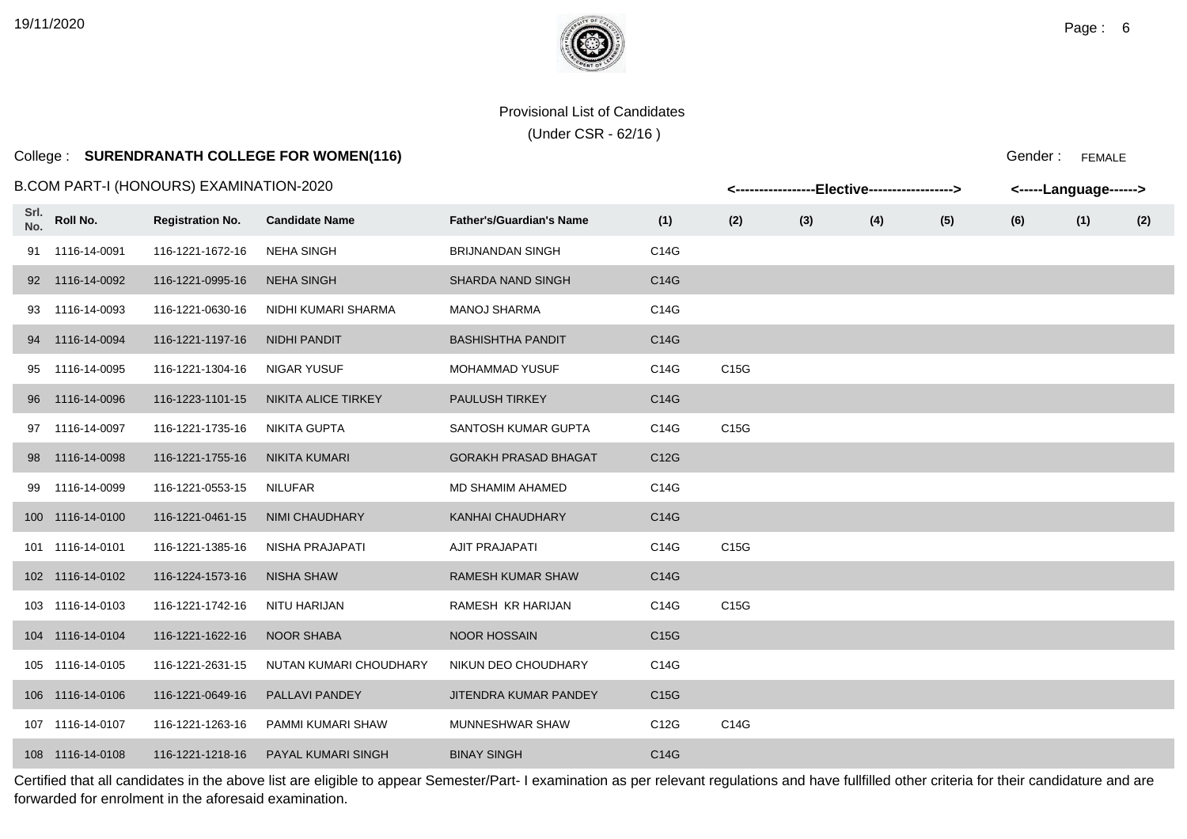# College : **SURENDRANATH COLLEGE FOR WOMEN(116)**

#### B.COM PART-I (HONOURS) EXAMINATION-2020

|             |                  | .COM PART-I (HONOURS) EXAMINATION-2020 |                        |                                 |      |      |     | <-----------------Elective-----------------> |     |     | <-----Language------> |     |
|-------------|------------------|----------------------------------------|------------------------|---------------------------------|------|------|-----|----------------------------------------------|-----|-----|-----------------------|-----|
| Srl.<br>No. | Roll No.         | <b>Registration No.</b>                | <b>Candidate Name</b>  | <b>Father's/Guardian's Name</b> | (1)  | (2)  | (3) | (4)                                          | (5) | (6) | (1)                   | (2) |
|             | 91 1116-14-0091  | 116-1221-1672-16                       | <b>NEHA SINGH</b>      | <b>BRIJNANDAN SINGH</b>         | C14G |      |     |                                              |     |     |                       |     |
|             | 92 1116-14-0092  | 116-1221-0995-16                       | <b>NEHA SINGH</b>      | <b>SHARDA NAND SINGH</b>        | C14G |      |     |                                              |     |     |                       |     |
|             | 93 1116-14-0093  | 116-1221-0630-16                       | NIDHI KUMARI SHARMA    | <b>MANOJ SHARMA</b>             | C14G |      |     |                                              |     |     |                       |     |
|             | 94 1116-14-0094  | 116-1221-1197-16                       | <b>NIDHI PANDIT</b>    | <b>BASHISHTHA PANDIT</b>        | C14G |      |     |                                              |     |     |                       |     |
|             | 95 1116-14-0095  | 116-1221-1304-16                       | <b>NIGAR YUSUF</b>     | MOHAMMAD YUSUF                  | C14G | C15G |     |                                              |     |     |                       |     |
|             | 96 1116-14-0096  | 116-1223-1101-15                       | NIKITA ALICE TIRKEY    | PAULUSH TIRKEY                  | C14G |      |     |                                              |     |     |                       |     |
|             | 97 1116-14-0097  | 116-1221-1735-16                       | <b>NIKITA GUPTA</b>    | SANTOSH KUMAR GUPTA             | C14G | C15G |     |                                              |     |     |                       |     |
|             | 98 1116-14-0098  | 116-1221-1755-16                       | <b>NIKITA KUMARI</b>   | <b>GORAKH PRASAD BHAGAT</b>     | C12G |      |     |                                              |     |     |                       |     |
|             | 99 1116-14-0099  | 116-1221-0553-15                       | NILUFAR                | MD SHAMIM AHAMED                | C14G |      |     |                                              |     |     |                       |     |
|             | 100 1116-14-0100 | 116-1221-0461-15                       | <b>NIMI CHAUDHARY</b>  | <b>KANHAI CHAUDHARY</b>         | C14G |      |     |                                              |     |     |                       |     |
|             | 101 1116-14-0101 | 116-1221-1385-16                       | NISHA PRAJAPATI        | <b>AJIT PRAJAPATI</b>           | C14G | C15G |     |                                              |     |     |                       |     |
|             | 102 1116-14-0102 | 116-1224-1573-16                       | <b>NISHA SHAW</b>      | <b>RAMESH KUMAR SHAW</b>        | C14G |      |     |                                              |     |     |                       |     |
|             | 103 1116-14-0103 | 116-1221-1742-16                       | NITU HARIJAN           | RAMESH KR HARIJAN               | C14G | C15G |     |                                              |     |     |                       |     |
|             | 104 1116-14-0104 | 116-1221-1622-16                       | <b>NOOR SHABA</b>      | <b>NOOR HOSSAIN</b>             | C15G |      |     |                                              |     |     |                       |     |
|             | 105 1116-14-0105 | 116-1221-2631-15                       | NUTAN KUMARI CHOUDHARY | NIKUN DEO CHOUDHARY             | C14G |      |     |                                              |     |     |                       |     |
|             | 106 1116-14-0106 | 116-1221-0649-16                       | PALLAVI PANDEY         | JITENDRA KUMAR PANDEY           | C15G |      |     |                                              |     |     |                       |     |
|             | 107 1116-14-0107 | 116-1221-1263-16                       | PAMMI KUMARI SHAW      | MUNNESHWAR SHAW                 | C12G | C14G |     |                                              |     |     |                       |     |
|             | 108 1116-14-0108 | 116-1221-1218-16                       | PAYAL KUMARI SINGH     | <b>BINAY SINGH</b>              | C14G |      |     |                                              |     |     |                       |     |

Certified that all candidates in the above list are eligible to appear Semester/Part- I examination as per relevant regulations and have fullfilled other criteria for their candidature and are forwarded for enrolment in the aforesaid examination.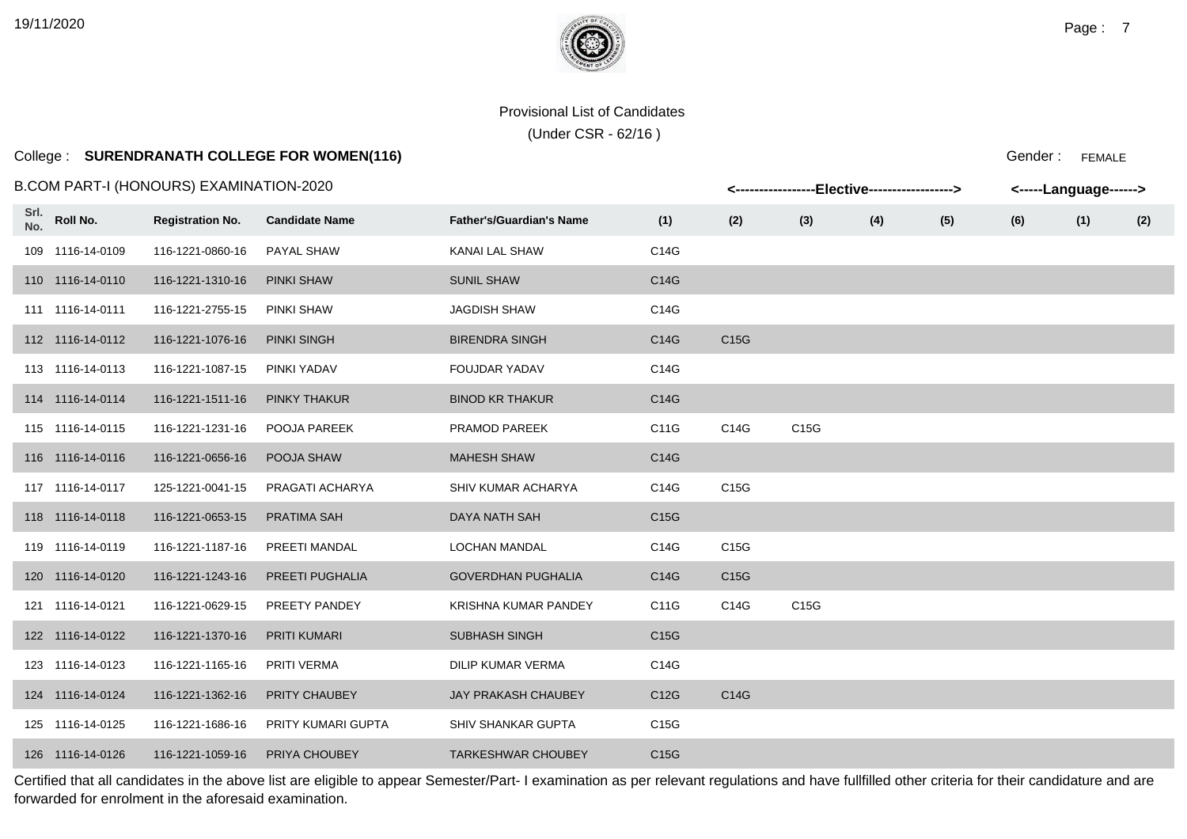# College : **SURENDRANATH COLLEGE FOR WOMEN(116)**

#### B.COM PART-I (HONOURS) EXAMINATION-2020

|             |                  | .COM PART-I (HONOURS) EXAMINATION-2020 |                       |                                 |      |      | <-----------------Elective-----------------> |     |     |     | <-----Language------> |     |
|-------------|------------------|----------------------------------------|-----------------------|---------------------------------|------|------|----------------------------------------------|-----|-----|-----|-----------------------|-----|
| Srl.<br>No. | Roll No.         | <b>Registration No.</b>                | <b>Candidate Name</b> | <b>Father's/Guardian's Name</b> | (1)  | (2)  | (3)                                          | (4) | (5) | (6) | (1)                   | (2) |
|             | 109 1116-14-0109 | 116-1221-0860-16                       | PAYAL SHAW            | KANAI LAL SHAW                  | C14G |      |                                              |     |     |     |                       |     |
|             | 110 1116-14-0110 | 116-1221-1310-16                       | <b>PINKI SHAW</b>     | <b>SUNIL SHAW</b>               | C14G |      |                                              |     |     |     |                       |     |
|             | 111 1116-14-0111 | 116-1221-2755-15                       | PINKI SHAW            | <b>JAGDISH SHAW</b>             | C14G |      |                                              |     |     |     |                       |     |
|             | 112 1116-14-0112 | 116-1221-1076-16                       | <b>PINKI SINGH</b>    | <b>BIRENDRA SINGH</b>           | C14G | C15G |                                              |     |     |     |                       |     |
|             | 113 1116-14-0113 | 116-1221-1087-15                       | PINKI YADAV           | <b>FOUJDAR YADAV</b>            | C14G |      |                                              |     |     |     |                       |     |
|             | 114 1116-14-0114 | 116-1221-1511-16                       | <b>PINKY THAKUR</b>   | <b>BINOD KR THAKUR</b>          | C14G |      |                                              |     |     |     |                       |     |
|             | 115 1116-14-0115 | 116-1221-1231-16                       | POOJA PAREEK          | PRAMOD PAREEK                   | C11G | C14G | C <sub>15</sub> G                            |     |     |     |                       |     |
|             | 116 1116-14-0116 | 116-1221-0656-16                       | POOJA SHAW            | <b>MAHESH SHAW</b>              | C14G |      |                                              |     |     |     |                       |     |
|             | 117 1116-14-0117 | 125-1221-0041-15                       | PRAGATI ACHARYA       | SHIV KUMAR ACHARYA              | C14G | C15G |                                              |     |     |     |                       |     |
|             | 118 1116-14-0118 | 116-1221-0653-15                       | <b>PRATIMA SAH</b>    | DAYA NATH SAH                   | C15G |      |                                              |     |     |     |                       |     |
|             | 119 1116-14-0119 | 116-1221-1187-16                       | PREETI MANDAL         | <b>LOCHAN MANDAL</b>            | C14G | C15G |                                              |     |     |     |                       |     |
|             | 120 1116-14-0120 | 116-1221-1243-16                       | PREETI PUGHALIA       | <b>GOVERDHAN PUGHALIA</b>       | C14G | C15G |                                              |     |     |     |                       |     |
|             | 121 1116-14-0121 | 116-1221-0629-15                       | PREETY PANDEY         | KRISHNA KUMAR PANDEY            | C11G | C14G | C15G                                         |     |     |     |                       |     |
|             | 122 1116-14-0122 | 116-1221-1370-16                       | <b>PRITI KUMARI</b>   | <b>SUBHASH SINGH</b>            | C15G |      |                                              |     |     |     |                       |     |
|             | 123 1116-14-0123 | 116-1221-1165-16                       | PRITI VERMA           | DILIP KUMAR VERMA               | C14G |      |                                              |     |     |     |                       |     |
|             | 124 1116-14-0124 | 116-1221-1362-16                       | <b>PRITY CHAUBEY</b>  | JAY PRAKASH CHAUBEY             | C12G | C14G |                                              |     |     |     |                       |     |
|             | 125 1116-14-0125 | 116-1221-1686-16                       | PRITY KUMARI GUPTA    | <b>SHIV SHANKAR GUPTA</b>       | C15G |      |                                              |     |     |     |                       |     |
|             | 126 1116-14-0126 | 116-1221-1059-16                       | PRIYA CHOUBEY         | <b>TARKESHWAR CHOUBEY</b>       | C15G |      |                                              |     |     |     |                       |     |

Certified that all candidates in the above list are eligible to appear Semester/Part- I examination as per relevant regulations and have fullfilled other criteria for their candidature and are forwarded for enrolment in the aforesaid examination.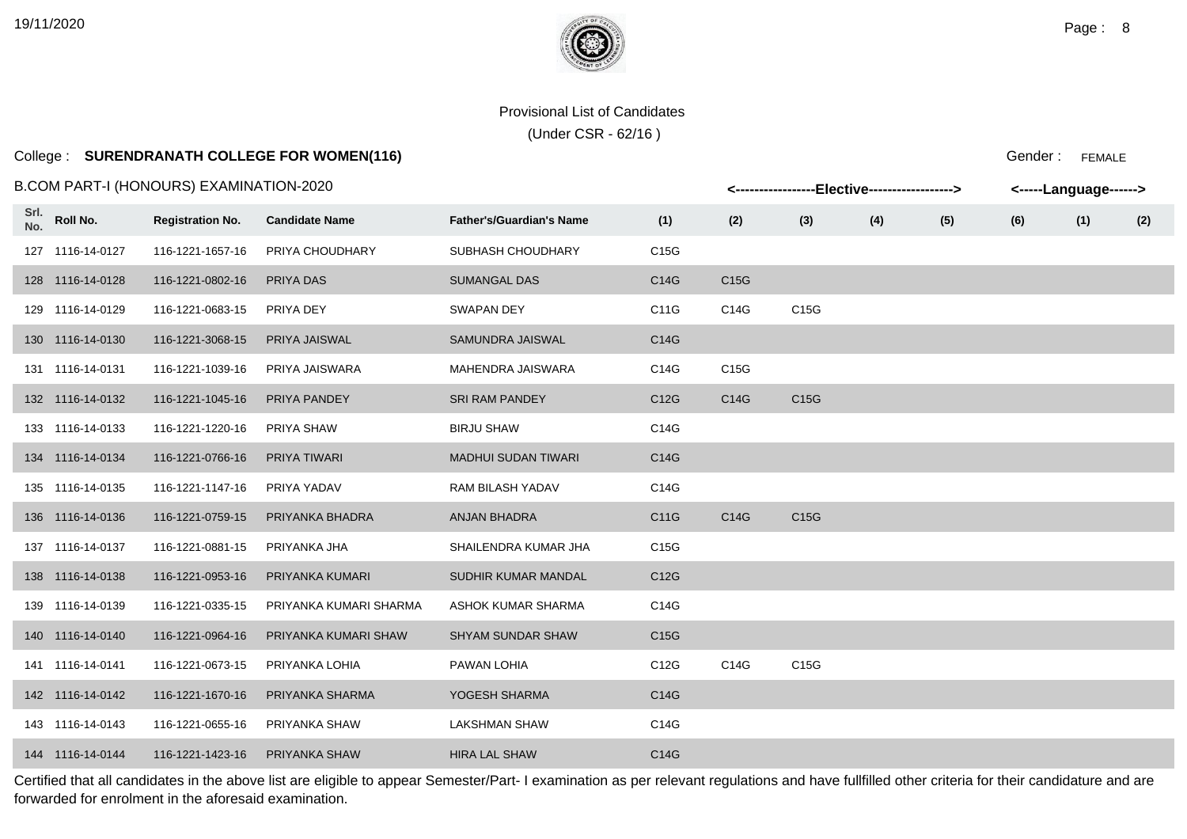# College : **SURENDRANATH COLLEGE FOR WOMEN(116)**

#### B.COM PART-I (HONOURS) EXAMINATION-2020

|             |                  | .COM PART-I (HONOURS) EXAMINATION-2020 |                        |                                 |                   |                   | <-----------------Elective-----------------> |     |     |     | <-----Language------> |     |
|-------------|------------------|----------------------------------------|------------------------|---------------------------------|-------------------|-------------------|----------------------------------------------|-----|-----|-----|-----------------------|-----|
| Srl.<br>No. | Roll No.         | <b>Registration No.</b>                | <b>Candidate Name</b>  | <b>Father's/Guardian's Name</b> | (1)               | (2)               | (3)                                          | (4) | (5) | (6) | (1)                   | (2) |
|             | 127 1116-14-0127 | 116-1221-1657-16                       | PRIYA CHOUDHARY        | SUBHASH CHOUDHARY               | C15G              |                   |                                              |     |     |     |                       |     |
|             | 128 1116-14-0128 | 116-1221-0802-16                       | PRIYA DAS              | <b>SUMANGAL DAS</b>             | C14G              | C <sub>15</sub> G |                                              |     |     |     |                       |     |
|             | 129 1116-14-0129 | 116-1221-0683-15                       | PRIYA DEY              | <b>SWAPAN DEY</b>               | C11G              | C14G              | C15G                                         |     |     |     |                       |     |
|             | 130 1116-14-0130 | 116-1221-3068-15                       | PRIYA JAISWAL          | SAMUNDRA JAISWAL                | C14G              |                   |                                              |     |     |     |                       |     |
|             | 131 1116-14-0131 | 116-1221-1039-16                       | PRIYA JAISWARA         | MAHENDRA JAISWARA               | C14G              | C15G              |                                              |     |     |     |                       |     |
|             | 132 1116-14-0132 | 116-1221-1045-16                       | PRIYA PANDEY           | <b>SRI RAM PANDEY</b>           | C <sub>12</sub> G | C14G              | C15G                                         |     |     |     |                       |     |
|             | 133 1116-14-0133 | 116-1221-1220-16                       | PRIYA SHAW             | <b>BIRJU SHAW</b>               | C14G              |                   |                                              |     |     |     |                       |     |
|             | 134 1116-14-0134 | 116-1221-0766-16                       | <b>PRIYA TIWARI</b>    | <b>MADHUI SUDAN TIWARI</b>      | C14G              |                   |                                              |     |     |     |                       |     |
|             | 135 1116-14-0135 | 116-1221-1147-16                       | PRIYA YADAV            | RAM BILASH YADAV                | C14G              |                   |                                              |     |     |     |                       |     |
|             | 136 1116-14-0136 | 116-1221-0759-15                       | PRIYANKA BHADRA        | ANJAN BHADRA                    | C11G              | C14G              | C15G                                         |     |     |     |                       |     |
|             | 137 1116-14-0137 | 116-1221-0881-15                       | PRIYANKA JHA           | SHAILENDRA KUMAR JHA            | C15G              |                   |                                              |     |     |     |                       |     |
|             | 138 1116-14-0138 | 116-1221-0953-16                       | PRIYANKA KUMARI        | SUDHIR KUMAR MANDAL             | C12G              |                   |                                              |     |     |     |                       |     |
|             | 139 1116-14-0139 | 116-1221-0335-15                       | PRIYANKA KUMARI SHARMA | ASHOK KUMAR SHARMA              | C14G              |                   |                                              |     |     |     |                       |     |
|             | 140 1116-14-0140 | 116-1221-0964-16                       | PRIYANKA KUMARI SHAW   | <b>SHYAM SUNDAR SHAW</b>        | C15G              |                   |                                              |     |     |     |                       |     |
|             | 141 1116-14-0141 | 116-1221-0673-15                       | PRIYANKA LOHIA         | PAWAN LOHIA                     | C <sub>12</sub> G | C14G              | C15G                                         |     |     |     |                       |     |
|             | 142 1116-14-0142 | 116-1221-1670-16                       | PRIYANKA SHARMA        | YOGESH SHARMA                   | C14G              |                   |                                              |     |     |     |                       |     |
|             | 143 1116-14-0143 | 116-1221-0655-16                       | PRIYANKA SHAW          | <b>LAKSHMAN SHAW</b>            | C14G              |                   |                                              |     |     |     |                       |     |
|             | 144 1116-14-0144 | 116-1221-1423-16                       | PRIYANKA SHAW          | <b>HIRA LAL SHAW</b>            | C14G              |                   |                                              |     |     |     |                       |     |

Certified that all candidates in the above list are eligible to appear Semester/Part- I examination as per relevant regulations and have fullfilled other criteria for their candidature and are forwarded for enrolment in the aforesaid examination.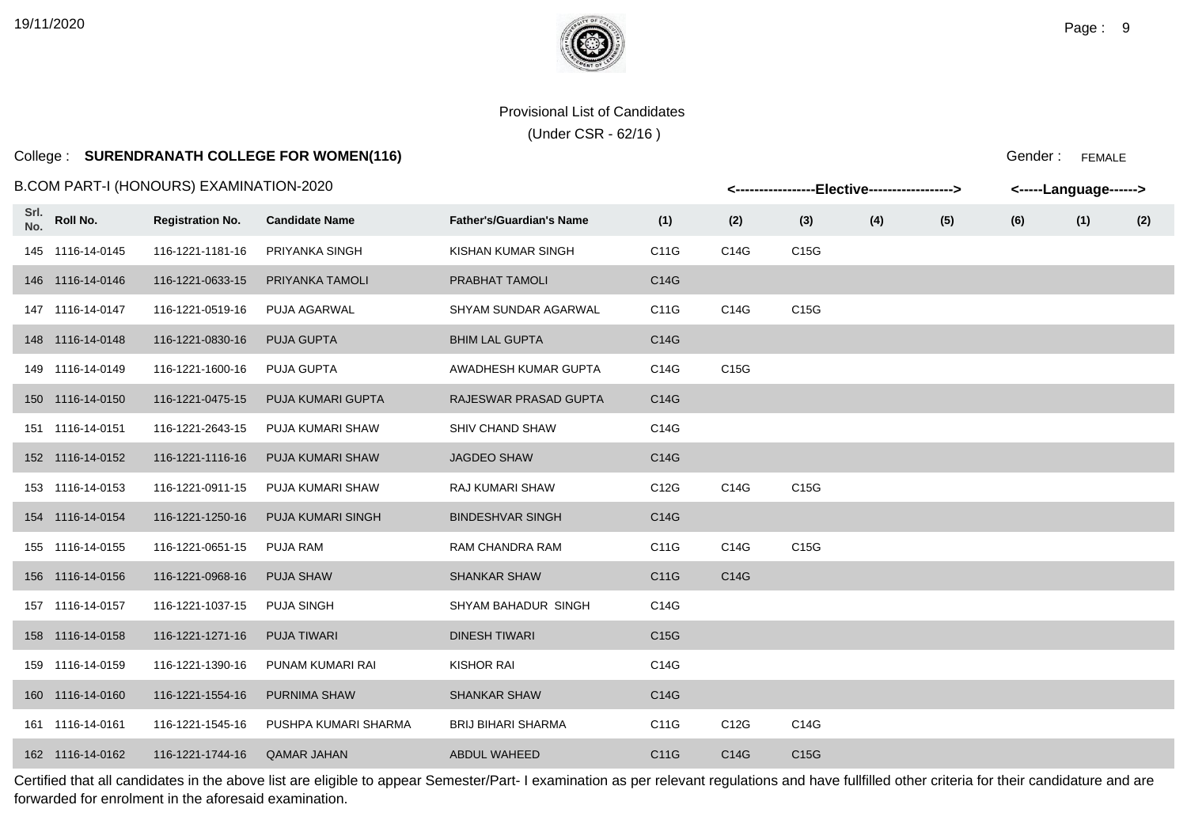# College : **SURENDRANATH COLLEGE FOR WOMEN(116)**

#### B.COM PART-I (HONOURS) EXAMINATION-2020

|             |                  | .COM PART-I (HONOURS) EXAMINATION-2020 |                          |                                 |      |      | <-----------------Elective-----------------> |     |     | <-----Language------> |     |     |
|-------------|------------------|----------------------------------------|--------------------------|---------------------------------|------|------|----------------------------------------------|-----|-----|-----------------------|-----|-----|
| Srl.<br>No. | Roll No.         | <b>Registration No.</b>                | <b>Candidate Name</b>    | <b>Father's/Guardian's Name</b> | (1)  | (2)  | (3)                                          | (4) | (5) | (6)                   | (1) | (2) |
|             | 145 1116-14-0145 | 116-1221-1181-16                       | PRIYANKA SINGH           | KISHAN KUMAR SINGH              | C11G | C14G | C15G                                         |     |     |                       |     |     |
|             | 146 1116-14-0146 | 116-1221-0633-15                       | PRIYANKA TAMOLI          | <b>PRABHAT TAMOLI</b>           | C14G |      |                                              |     |     |                       |     |     |
|             | 147 1116-14-0147 | 116-1221-0519-16                       | <b>PUJA AGARWAL</b>      | <b>SHYAM SUNDAR AGARWAL</b>     | C11G | C14G | C15G                                         |     |     |                       |     |     |
|             | 148 1116-14-0148 | 116-1221-0830-16                       | <b>PUJA GUPTA</b>        | <b>BHIM LAL GUPTA</b>           | C14G |      |                                              |     |     |                       |     |     |
|             | 149 1116-14-0149 | 116-1221-1600-16                       | PUJA GUPTA               | AWADHESH KUMAR GUPTA            | C14G | C15G |                                              |     |     |                       |     |     |
|             | 150 1116-14-0150 | 116-1221-0475-15                       | PUJA KUMARI GUPTA        | RAJESWAR PRASAD GUPTA           | C14G |      |                                              |     |     |                       |     |     |
|             | 151 1116-14-0151 | 116-1221-2643-15                       | PUJA KUMARI SHAW         | SHIV CHAND SHAW                 | C14G |      |                                              |     |     |                       |     |     |
|             | 152 1116-14-0152 | 116-1221-1116-16                       | PUJA KUMARI SHAW         | <b>JAGDEO SHAW</b>              | C14G |      |                                              |     |     |                       |     |     |
|             | 153 1116-14-0153 | 116-1221-0911-15                       | PUJA KUMARI SHAW         | <b>RAJ KUMARI SHAW</b>          | C12G | C14G | C15G                                         |     |     |                       |     |     |
|             | 154 1116-14-0154 | 116-1221-1250-16                       | <b>PUJA KUMARI SINGH</b> | <b>BINDESHVAR SINGH</b>         | C14G |      |                                              |     |     |                       |     |     |
|             | 155 1116-14-0155 | 116-1221-0651-15                       | PUJA RAM                 | RAM CHANDRA RAM                 | C11G | C14G | C15G                                         |     |     |                       |     |     |
|             | 156 1116-14-0156 | 116-1221-0968-16                       | <b>PUJA SHAW</b>         | <b>SHANKAR SHAW</b>             | C11G | C14G |                                              |     |     |                       |     |     |
|             | 157 1116-14-0157 | 116-1221-1037-15                       | <b>PUJA SINGH</b>        | SHYAM BAHADUR SINGH             | C14G |      |                                              |     |     |                       |     |     |
|             | 158 1116-14-0158 | 116-1221-1271-16                       | <b>PUJA TIWARI</b>       | <b>DINESH TIWARI</b>            | C15G |      |                                              |     |     |                       |     |     |
|             | 159 1116-14-0159 | 116-1221-1390-16                       | PUNAM KUMARI RAI         | <b>KISHOR RAI</b>               | C14G |      |                                              |     |     |                       |     |     |
|             | 160 1116-14-0160 | 116-1221-1554-16                       | <b>PURNIMA SHAW</b>      | <b>SHANKAR SHAW</b>             | C14G |      |                                              |     |     |                       |     |     |
|             | 161 1116-14-0161 | 116-1221-1545-16                       | PUSHPA KUMARI SHARMA     | <b>BRIJ BIHARI SHARMA</b>       | C11G | C12G | C14G                                         |     |     |                       |     |     |
|             | 162 1116-14-0162 | 116-1221-1744-16                       | <b>QAMAR JAHAN</b>       | <b>ABDUL WAHEED</b>             | C11G | C14G | C15G                                         |     |     |                       |     |     |

Certified that all candidates in the above list are eligible to appear Semester/Part- I examination as per relevant regulations and have fullfilled other criteria for their candidature and are forwarded for enrolment in the aforesaid examination.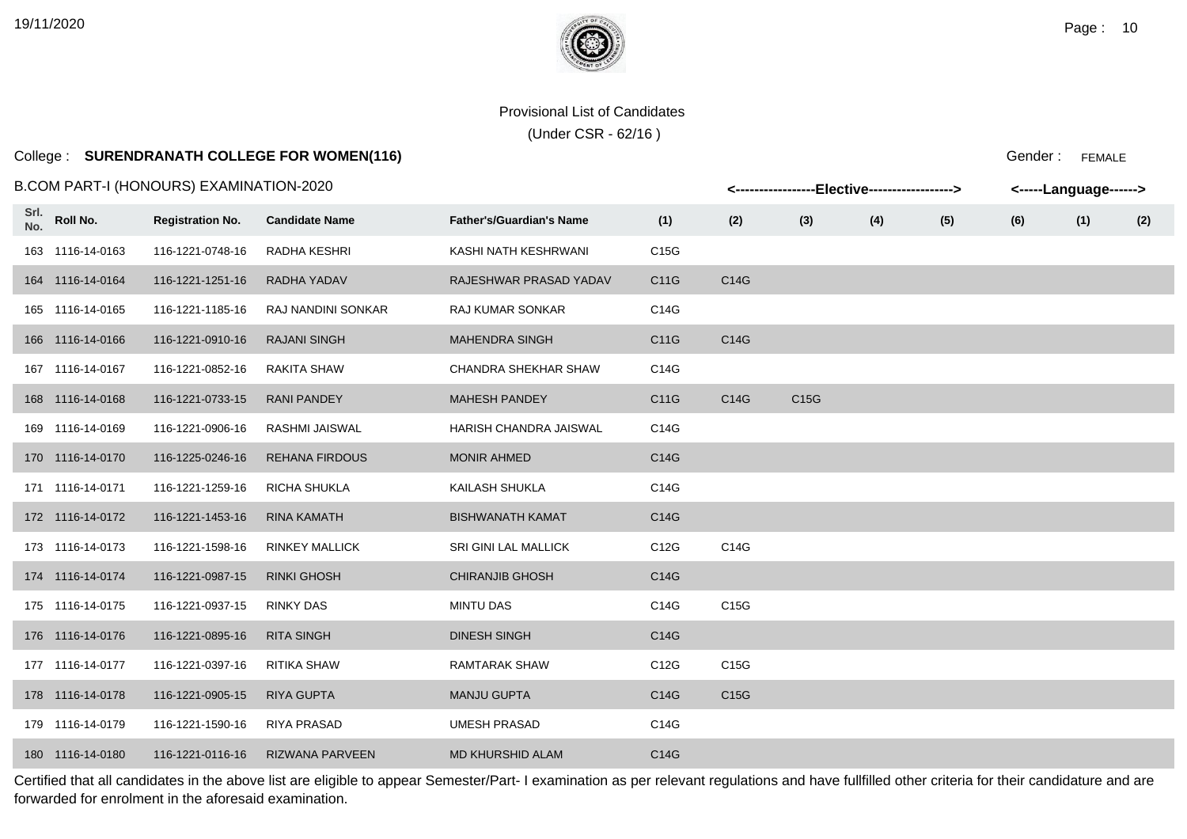# College : **SURENDRANATH COLLEGE FOR WOMEN(116)**

#### B.COM PART-I (HONOURS) EXAMINATION-2020

|             |                  | COM PART-I (HONOURS) EXAMINATION-2020 |                           |                                 |                   |      | <-----------------Elective-----------------> |     |     |     | <-----Language------> |     |
|-------------|------------------|---------------------------------------|---------------------------|---------------------------------|-------------------|------|----------------------------------------------|-----|-----|-----|-----------------------|-----|
| Srl.<br>No. | Roll No.         | <b>Registration No.</b>               | <b>Candidate Name</b>     | <b>Father's/Guardian's Name</b> | (1)               | (2)  | (3)                                          | (4) | (5) | (6) | (1)                   | (2) |
|             | 163 1116-14-0163 | 116-1221-0748-16                      | RADHA KESHRI              | KASHI NATH KESHRWANI            | C15G              |      |                                              |     |     |     |                       |     |
|             | 164 1116-14-0164 | 116-1221-1251-16                      | RADHA YADAV               | RAJESHWAR PRASAD YADAV          | C11G              | C14G |                                              |     |     |     |                       |     |
|             | 165 1116-14-0165 | 116-1221-1185-16                      | <b>RAJ NANDINI SONKAR</b> | <b>RAJ KUMAR SONKAR</b>         | C14G              |      |                                              |     |     |     |                       |     |
|             | 166 1116-14-0166 | 116-1221-0910-16                      | <b>RAJANI SINGH</b>       | <b>MAHENDRA SINGH</b>           | C11G              | C14G |                                              |     |     |     |                       |     |
|             | 167 1116-14-0167 | 116-1221-0852-16                      | <b>RAKITA SHAW</b>        | CHANDRA SHEKHAR SHAW            | C14G              |      |                                              |     |     |     |                       |     |
|             | 168 1116-14-0168 | 116-1221-0733-15                      | <b>RANI PANDEY</b>        | <b>MAHESH PANDEY</b>            | C11G              | C14G | C15G                                         |     |     |     |                       |     |
|             | 169 1116-14-0169 | 116-1221-0906-16                      | RASHMI JAISWAL            | HARISH CHANDRA JAISWAL          | C14G              |      |                                              |     |     |     |                       |     |
|             | 170 1116-14-0170 | 116-1225-0246-16                      | <b>REHANA FIRDOUS</b>     | <b>MONIR AHMED</b>              | C14G              |      |                                              |     |     |     |                       |     |
|             | 171 1116-14-0171 | 116-1221-1259-16                      | RICHA SHUKLA              | KAILASH SHUKLA                  | C14G              |      |                                              |     |     |     |                       |     |
|             | 172 1116-14-0172 | 116-1221-1453-16                      | <b>RINA KAMATH</b>        | <b>BISHWANATH KAMAT</b>         | C14G              |      |                                              |     |     |     |                       |     |
|             | 173 1116-14-0173 | 116-1221-1598-16                      | <b>RINKEY MALLICK</b>     | SRI GINI LAL MALLICK            | C <sub>12</sub> G | C14G |                                              |     |     |     |                       |     |
|             | 174 1116-14-0174 | 116-1221-0987-15                      | <b>RINKI GHOSH</b>        | <b>CHIRANJIB GHOSH</b>          | C14G              |      |                                              |     |     |     |                       |     |
|             | 175 1116-14-0175 | 116-1221-0937-15                      | <b>RINKY DAS</b>          | <b>MINTU DAS</b>                | C14G              | C15G |                                              |     |     |     |                       |     |
|             | 176 1116-14-0176 | 116-1221-0895-16                      | <b>RITA SINGH</b>         | <b>DINESH SINGH</b>             | C14G              |      |                                              |     |     |     |                       |     |
|             | 177 1116-14-0177 | 116-1221-0397-16                      | RITIKA SHAW               | RAMTARAK SHAW                   | C12G              | C15G |                                              |     |     |     |                       |     |
|             | 178 1116-14-0178 | 116-1221-0905-15                      | <b>RIYA GUPTA</b>         | <b>MANJU GUPTA</b>              | C14G              | C15G |                                              |     |     |     |                       |     |
|             | 179 1116-14-0179 | 116-1221-1590-16                      | <b>RIYA PRASAD</b>        | <b>UMESH PRASAD</b>             | C14G              |      |                                              |     |     |     |                       |     |
|             | 180 1116-14-0180 | 116-1221-0116-16                      | <b>RIZWANA PARVEEN</b>    | <b>MD KHURSHID ALAM</b>         | C14G              |      |                                              |     |     |     |                       |     |

Certified that all candidates in the above list are eligible to appear Semester/Part- I examination as per relevant regulations and have fullfilled other criteria for their candidature and are forwarded for enrolment in the aforesaid examination.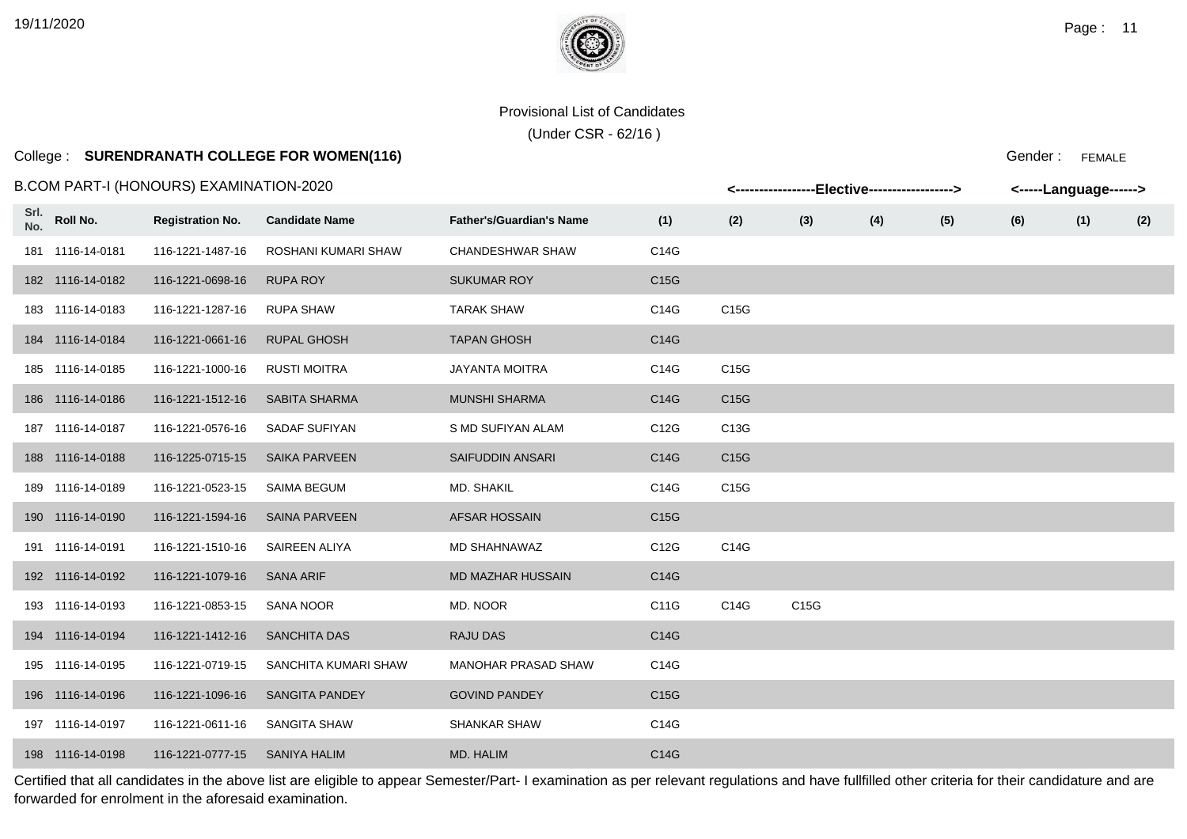# College : **SURENDRANATH COLLEGE FOR WOMEN(116)**

#### B.COM PART-I (HONOURS) EXAMINATION-2020

|             |                  | B.COM PART-I (HONOURS) EXAMINATION-2020 |                       |                                 |      | <-----------------Elective-----------------> |      |     |     | <-----Language------> |     |     |
|-------------|------------------|-----------------------------------------|-----------------------|---------------------------------|------|----------------------------------------------|------|-----|-----|-----------------------|-----|-----|
| Srl.<br>No. | Roll No.         | <b>Registration No.</b>                 | <b>Candidate Name</b> | <b>Father's/Guardian's Name</b> | (1)  | (2)                                          | (3)  | (4) | (5) | (6)                   | (1) | (2) |
|             | 181 1116-14-0181 | 116-1221-1487-16                        | ROSHANI KUMARI SHAW   | CHANDESHWAR SHAW                | C14G |                                              |      |     |     |                       |     |     |
|             | 182 1116-14-0182 | 116-1221-0698-16                        | <b>RUPA ROY</b>       | <b>SUKUMAR ROY</b>              | C15G |                                              |      |     |     |                       |     |     |
|             | 183 1116-14-0183 | 116-1221-1287-16                        | <b>RUPA SHAW</b>      | <b>TARAK SHAW</b>               | C14G | C15G                                         |      |     |     |                       |     |     |
|             | 184 1116-14-0184 | 116-1221-0661-16                        | <b>RUPAL GHOSH</b>    | <b>TAPAN GHOSH</b>              | C14G |                                              |      |     |     |                       |     |     |
|             | 185 1116-14-0185 | 116-1221-1000-16                        | <b>RUSTI MOITRA</b>   | <b>JAYANTA MOITRA</b>           | C14G | C15G                                         |      |     |     |                       |     |     |
|             | 186 1116-14-0186 | 116-1221-1512-16                        | SABITA SHARMA         | <b>MUNSHI SHARMA</b>            | C14G | C <sub>15</sub> G                            |      |     |     |                       |     |     |
|             | 187 1116-14-0187 | 116-1221-0576-16                        | SADAF SUFIYAN         | S MD SUFIYAN ALAM               | C12G | C13G                                         |      |     |     |                       |     |     |
|             | 188 1116-14-0188 | 116-1225-0715-15                        | <b>SAIKA PARVEEN</b>  | SAIFUDDIN ANSARI                | C14G | C15G                                         |      |     |     |                       |     |     |
|             | 189 1116-14-0189 | 116-1221-0523-15                        | SAIMA BEGUM           | MD. SHAKIL                      | C14G | C15G                                         |      |     |     |                       |     |     |
|             | 190 1116-14-0190 | 116-1221-1594-16                        | <b>SAINA PARVEEN</b>  | <b>AFSAR HOSSAIN</b>            | C15G |                                              |      |     |     |                       |     |     |
|             | 191 1116-14-0191 | 116-1221-1510-16                        | SAIREEN ALIYA         | MD SHAHNAWAZ                    | C12G | C14G                                         |      |     |     |                       |     |     |
|             | 192 1116-14-0192 | 116-1221-1079-16                        | SANA ARIF             | MD MAZHAR HUSSAIN               | C14G |                                              |      |     |     |                       |     |     |
|             | 193 1116-14-0193 | 116-1221-0853-15                        | SANA NOOR             | MD. NOOR                        | C11G | C14G                                         | C15G |     |     |                       |     |     |
|             | 194 1116-14-0194 | 116-1221-1412-16                        | <b>SANCHITA DAS</b>   | <b>RAJU DAS</b>                 | C14G |                                              |      |     |     |                       |     |     |
|             | 195 1116-14-0195 | 116-1221-0719-15                        | SANCHITA KUMARI SHAW  | MANOHAR PRASAD SHAW             | C14G |                                              |      |     |     |                       |     |     |
|             | 196 1116-14-0196 | 116-1221-1096-16                        | <b>SANGITA PANDEY</b> | <b>GOVIND PANDEY</b>            | C15G |                                              |      |     |     |                       |     |     |
|             | 197 1116-14-0197 | 116-1221-0611-16                        | SANGITA SHAW          | <b>SHANKAR SHAW</b>             | C14G |                                              |      |     |     |                       |     |     |
|             | 198 1116-14-0198 | 116-1221-0777-15                        | SANIYA HALIM          | MD. HALIM                       | C14G |                                              |      |     |     |                       |     |     |

Certified that all candidates in the above list are eligible to appear Semester/Part- I examination as per relevant regulations and have fullfilled other criteria for their candidature and are forwarded for enrolment in the aforesaid examination.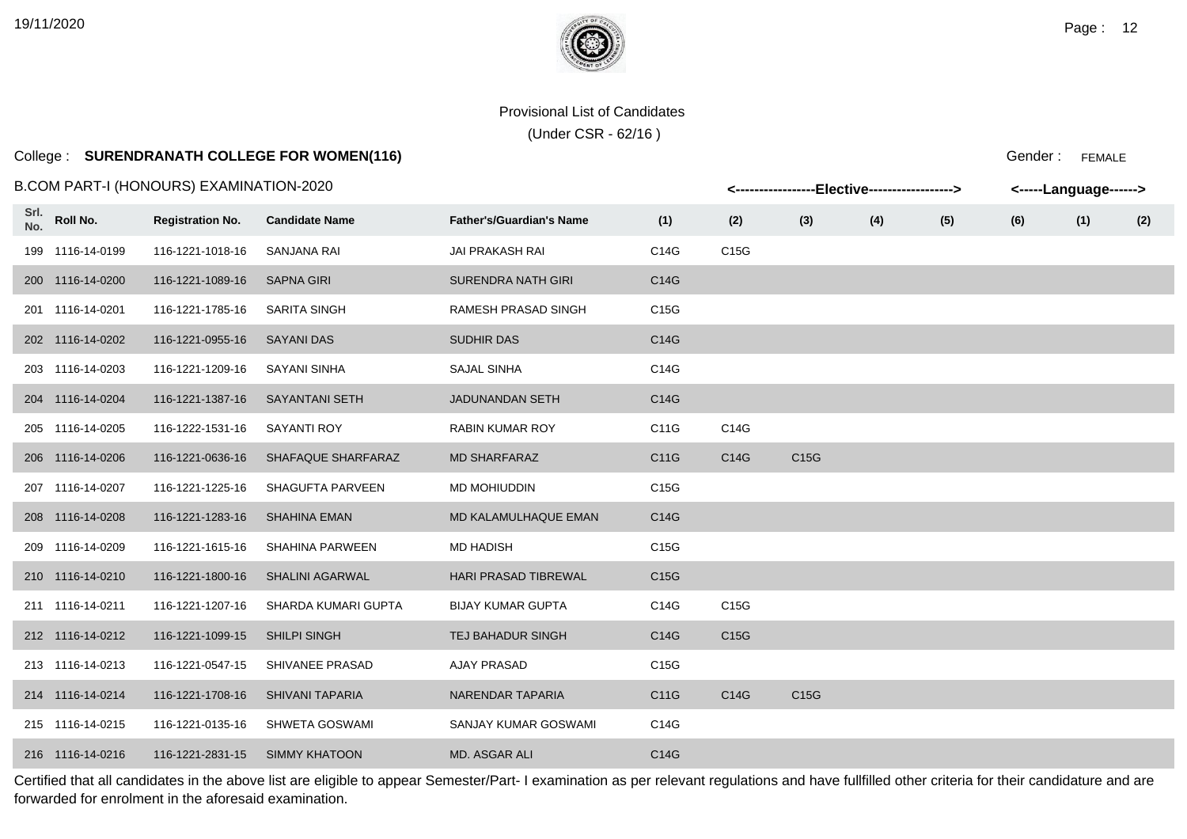# College : **SURENDRANATH COLLEGE FOR WOMEN(116)**

#### B.COM PART-I (HONOURS) EXAMINATION-2020

|             |                  | 3.COM PART-I (HONOURS) EXAMINATION-2020. |                        |                                 |      |      | <-----------------Elective-----------------> |     |     |     | <-----Language------> |     |
|-------------|------------------|------------------------------------------|------------------------|---------------------------------|------|------|----------------------------------------------|-----|-----|-----|-----------------------|-----|
| Srl.<br>No. | Roll No.         | <b>Registration No.</b>                  | <b>Candidate Name</b>  | <b>Father's/Guardian's Name</b> | (1)  | (2)  | (3)                                          | (4) | (5) | (6) | (1)                   | (2) |
|             | 199 1116-14-0199 | 116-1221-1018-16                         | SANJANA RAI            | <b>JAI PRAKASH RAI</b>          | C14G | C15G |                                              |     |     |     |                       |     |
|             | 200 1116-14-0200 | 116-1221-1089-16                         | <b>SAPNA GIRI</b>      | <b>SURENDRA NATH GIRI</b>       | C14G |      |                                              |     |     |     |                       |     |
|             | 201 1116-14-0201 | 116-1221-1785-16                         | <b>SARITA SINGH</b>    | RAMESH PRASAD SINGH             | C15G |      |                                              |     |     |     |                       |     |
|             | 202 1116-14-0202 | 116-1221-0955-16                         | <b>SAYANI DAS</b>      | <b>SUDHIR DAS</b>               | C14G |      |                                              |     |     |     |                       |     |
|             | 203 1116-14-0203 | 116-1221-1209-16                         | <b>SAYANI SINHA</b>    | SAJAL SINHA                     | C14G |      |                                              |     |     |     |                       |     |
|             | 204 1116-14-0204 | 116-1221-1387-16                         | <b>SAYANTANI SETH</b>  | <b>JADUNANDAN SETH</b>          | C14G |      |                                              |     |     |     |                       |     |
|             | 205 1116-14-0205 | 116-1222-1531-16                         | <b>SAYANTI ROY</b>     | <b>RABIN KUMAR ROY</b>          | C11G | C14G |                                              |     |     |     |                       |     |
|             | 206 1116-14-0206 | 116-1221-0636-16                         | SHAFAQUE SHARFARAZ     | <b>MD SHARFARAZ</b>             | C11G | C14G | C15G                                         |     |     |     |                       |     |
|             | 207 1116-14-0207 | 116-1221-1225-16                         | SHAGUFTA PARVEEN       | MD MOHIUDDIN                    | C15G |      |                                              |     |     |     |                       |     |
|             | 208 1116-14-0208 | 116-1221-1283-16                         | <b>SHAHINA EMAN</b>    | MD KALAMULHAQUE EMAN            | C14G |      |                                              |     |     |     |                       |     |
|             | 209 1116-14-0209 | 116-1221-1615-16                         | <b>SHAHINA PARWEEN</b> | <b>MD HADISH</b>                | C15G |      |                                              |     |     |     |                       |     |
|             | 210 1116-14-0210 | 116-1221-1800-16                         | <b>SHALINI AGARWAL</b> | <b>HARI PRASAD TIBREWAL</b>     | C15G |      |                                              |     |     |     |                       |     |
|             | 211 1116-14-0211 | 116-1221-1207-16                         | SHARDA KUMARI GUPTA    | <b>BIJAY KUMAR GUPTA</b>        | C14G | C15G |                                              |     |     |     |                       |     |
|             | 212 1116-14-0212 | 116-1221-1099-15                         | <b>SHILPI SINGH</b>    | <b>TEJ BAHADUR SINGH</b>        | C14G | C15G |                                              |     |     |     |                       |     |
|             | 213 1116-14-0213 | 116-1221-0547-15                         | SHIVANEE PRASAD        | <b>AJAY PRASAD</b>              | C15G |      |                                              |     |     |     |                       |     |
|             | 214 1116-14-0214 | 116-1221-1708-16                         | <b>SHIVANI TAPARIA</b> | NARENDAR TAPARIA                | C11G | C14G | C15G                                         |     |     |     |                       |     |
|             | 215 1116-14-0215 | 116-1221-0135-16                         | <b>SHWETA GOSWAMI</b>  | SANJAY KUMAR GOSWAMI            | C14G |      |                                              |     |     |     |                       |     |
|             | 216 1116-14-0216 | 116-1221-2831-15                         | SIMMY KHATOON          | MD. ASGAR ALI                   | C14G |      |                                              |     |     |     |                       |     |

Certified that all candidates in the above list are eligible to appear Semester/Part- I examination as per relevant regulations and have fullfilled other criteria for their candidature and are forwarded for enrolment in the aforesaid examination.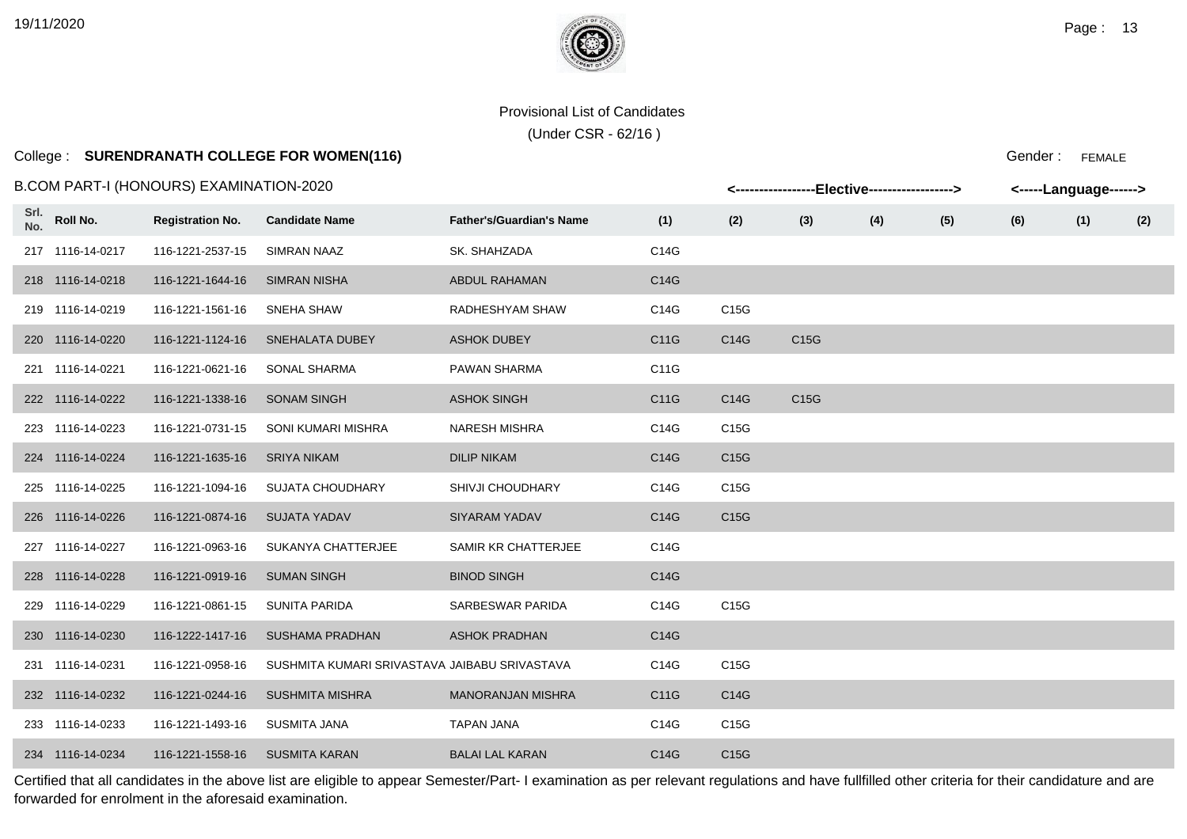(Under CSR - 62/16 )

### College : **SURENDRANATH COLLEGE FOR WOMEN(116)**

Gender : FEMALE

|             |                  | B.COM PART-I (HONOURS) EXAMINATION-2020 |                                               |                                 |      |      | <-----------------Elective-----------------> |     |     |     | <-----Language------> |     |
|-------------|------------------|-----------------------------------------|-----------------------------------------------|---------------------------------|------|------|----------------------------------------------|-----|-----|-----|-----------------------|-----|
| Srl.<br>No. | Roll No.         | <b>Registration No.</b>                 | <b>Candidate Name</b>                         | <b>Father's/Guardian's Name</b> | (1)  | (2)  | (3)                                          | (4) | (5) | (6) | (1)                   | (2) |
|             | 217 1116-14-0217 | 116-1221-2537-15                        | <b>SIMRAN NAAZ</b>                            | SK. SHAHZADA                    | C14G |      |                                              |     |     |     |                       |     |
|             | 218 1116-14-0218 | 116-1221-1644-16                        | <b>SIMRAN NISHA</b>                           | ABDUL RAHAMAN                   | C14G |      |                                              |     |     |     |                       |     |
|             | 219 1116-14-0219 | 116-1221-1561-16                        | SNEHA SHAW                                    | RADHESHYAM SHAW                 | C14G | C15G |                                              |     |     |     |                       |     |
|             | 220 1116-14-0220 | 116-1221-1124-16                        | SNEHALATA DUBEY                               | <b>ASHOK DUBEY</b>              | C11G | C14G | C15G                                         |     |     |     |                       |     |
|             | 221 1116-14-0221 | 116-1221-0621-16                        | <b>SONAL SHARMA</b>                           | PAWAN SHARMA                    | C11G |      |                                              |     |     |     |                       |     |
|             | 222 1116-14-0222 | 116-1221-1338-16                        | <b>SONAM SINGH</b>                            | <b>ASHOK SINGH</b>              | C11G | C14G | C15G                                         |     |     |     |                       |     |
|             | 223 1116-14-0223 | 116-1221-0731-15                        | SONI KUMARI MISHRA                            | <b>NARESH MISHRA</b>            | C14G | C15G |                                              |     |     |     |                       |     |
|             | 224 1116-14-0224 | 116-1221-1635-16                        | <b>SRIYA NIKAM</b>                            | <b>DILIP NIKAM</b>              | C14G | C15G |                                              |     |     |     |                       |     |
|             | 225 1116-14-0225 | 116-1221-1094-16                        | <b>SUJATA CHOUDHARY</b>                       | SHIVJI CHOUDHARY                | C14G | C15G |                                              |     |     |     |                       |     |
|             | 226 1116-14-0226 | 116-1221-0874-16                        | <b>SUJATA YADAV</b>                           | <b>SIYARAM YADAV</b>            | C14G | C15G |                                              |     |     |     |                       |     |
|             | 227 1116-14-0227 | 116-1221-0963-16                        | SUKANYA CHATTERJEE                            | SAMIR KR CHATTERJEE             | C14G |      |                                              |     |     |     |                       |     |
|             | 228 1116-14-0228 | 116-1221-0919-16                        | <b>SUMAN SINGH</b>                            | <b>BINOD SINGH</b>              | C14G |      |                                              |     |     |     |                       |     |
|             | 229 1116-14-0229 | 116-1221-0861-15                        | SUNITA PARIDA                                 | SARBESWAR PARIDA                | C14G | C15G |                                              |     |     |     |                       |     |
|             | 230 1116-14-0230 | 116-1222-1417-16                        | <b>SUSHAMA PRADHAN</b>                        | <b>ASHOK PRADHAN</b>            | C14G |      |                                              |     |     |     |                       |     |
|             | 231 1116-14-0231 | 116-1221-0958-16                        | SUSHMITA KUMARI SRIVASTAVA JAIBABU SRIVASTAVA |                                 | C14G | C15G |                                              |     |     |     |                       |     |
|             | 232 1116-14-0232 | 116-1221-0244-16                        | <b>SUSHMITA MISHRA</b>                        | <b>MANORANJAN MISHRA</b>        | C11G | C14G |                                              |     |     |     |                       |     |
|             | 233 1116-14-0233 | 116-1221-1493-16                        | <b>SUSMITA JANA</b>                           | <b>TAPAN JANA</b>               | C14G | C15G |                                              |     |     |     |                       |     |
|             | 234 1116-14-0234 | 116-1221-1558-16                        | <b>SUSMITA KARAN</b>                          | <b>BALAI LAL KARAN</b>          | C14G | C15G |                                              |     |     |     |                       |     |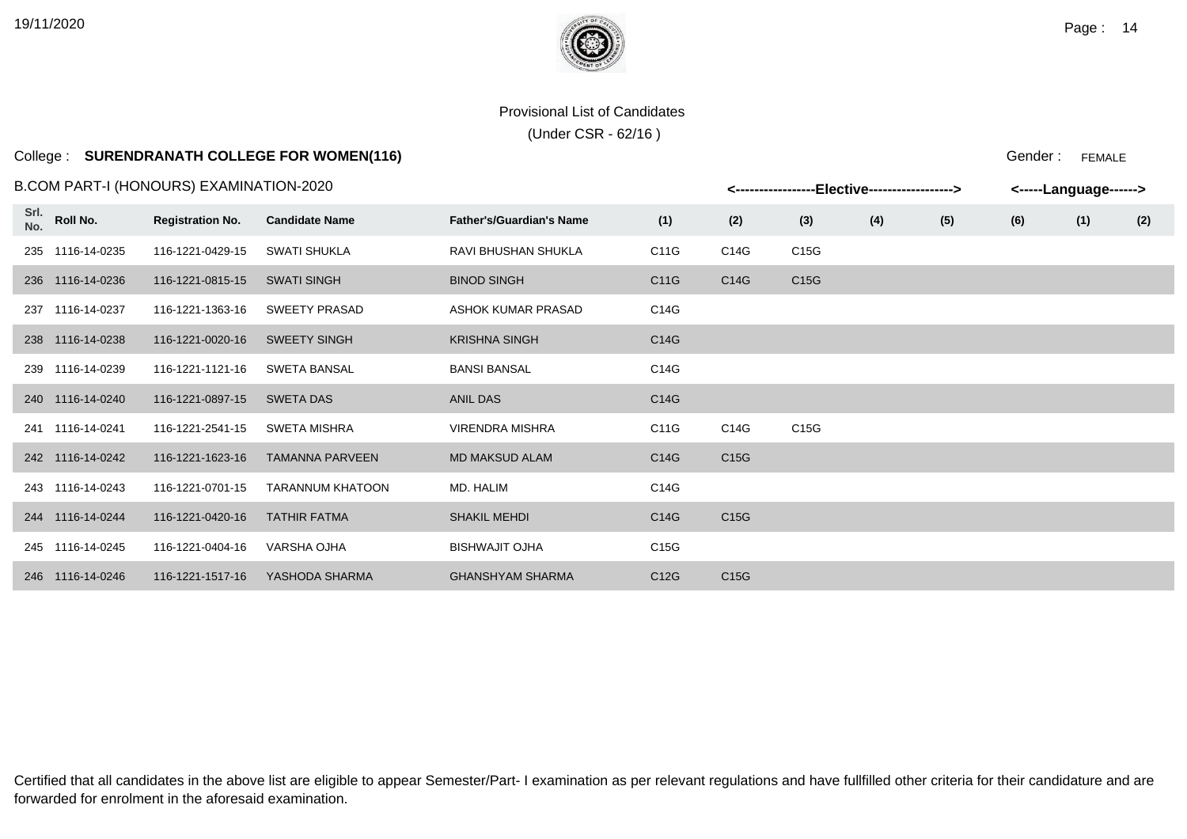(Under CSR - 62/16 )

### College : **SURENDRANATH COLLEGE FOR WOMEN(116)**

Gender : FEMALE

|             |                  | B.COM PART-I (HONOURS) EXAMINATION-2020 |                        |                                 | -------------- |      | -Elective------------------> |     |     | <-----Language------> |     |     |
|-------------|------------------|-----------------------------------------|------------------------|---------------------------------|----------------|------|------------------------------|-----|-----|-----------------------|-----|-----|
| Srl.<br>No. | Roll No.         | <b>Registration No.</b>                 | <b>Candidate Name</b>  | <b>Father's/Guardian's Name</b> | (1)            | (2)  | (3)                          | (4) | (5) | (6)                   | (1) | (2) |
| 235         | 1116-14-0235     | 116-1221-0429-15                        | <b>SWATI SHUKLA</b>    | RAVI BHUSHAN SHUKLA             | C11G           | C14G | C15G                         |     |     |                       |     |     |
|             | 236 1116-14-0236 | 116-1221-0815-15                        | <b>SWATI SINGH</b>     | <b>BINOD SINGH</b>              | C11G           | C14G | C15G                         |     |     |                       |     |     |
| 237         | 1116-14-0237     | 116-1221-1363-16                        | <b>SWEETY PRASAD</b>   | ASHOK KUMAR PRASAD              | C14G           |      |                              |     |     |                       |     |     |
| 238         | 1116-14-0238     | 116-1221-0020-16                        | <b>SWEETY SINGH</b>    | <b>KRISHNA SINGH</b>            | C14G           |      |                              |     |     |                       |     |     |
| 239         | 1116-14-0239     | 116-1221-1121-16                        | <b>SWETA BANSAL</b>    | <b>BANSI BANSAL</b>             | C14G           |      |                              |     |     |                       |     |     |
| 240         | 1116-14-0240     | 116-1221-0897-15                        | <b>SWETA DAS</b>       | <b>ANIL DAS</b>                 | C14G           |      |                              |     |     |                       |     |     |
| 241         | 1116-14-0241     | 116-1221-2541-15                        | <b>SWETA MISHRA</b>    | <b>VIRENDRA MISHRA</b>          | C11G           | C14G | C15G                         |     |     |                       |     |     |
|             | 242 1116-14-0242 | 116-1221-1623-16                        | <b>TAMANNA PARVEEN</b> | <b>MD MAKSUD ALAM</b>           | C14G           | C15G |                              |     |     |                       |     |     |
| 243         | 1116-14-0243     | 116-1221-0701-15                        | TARANNUM KHATOON       | MD. HALIM                       | C14G           |      |                              |     |     |                       |     |     |
| 244         | 1116-14-0244     | 116-1221-0420-16                        | <b>TATHIR FATMA</b>    | <b>SHAKIL MEHDI</b>             | C14G           | C15G |                              |     |     |                       |     |     |
| 245         | 1116-14-0245     | 116-1221-0404-16                        | <b>VARSHA OJHA</b>     | <b>BISHWAJIT OJHA</b>           | C15G           |      |                              |     |     |                       |     |     |
| 246         | 1116-14-0246     | 116-1221-1517-16                        | YASHODA SHARMA         | <b>GHANSHYAM SHARMA</b>         | C12G           | C15G |                              |     |     |                       |     |     |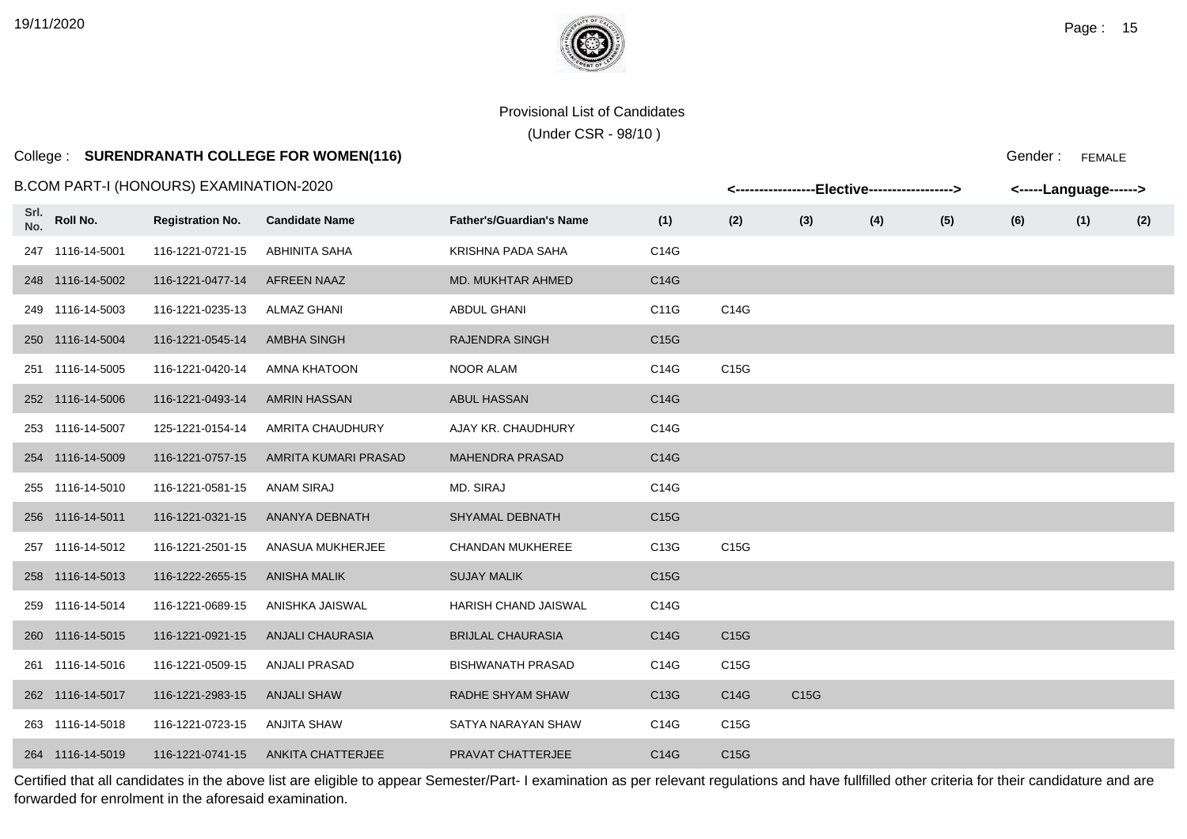(Under CSR - 98/10 )

## College : **SURENDRANATH COLLEGE FOR WOMEN(116)**

Gender : FEMALE

|             |                  | B.COM PART-I (HONOURS) EXAMINATION-2020 |                         |                                 |                   |      | <----------------Elective-----------------> |     |     | <-----Language------> |     |     |
|-------------|------------------|-----------------------------------------|-------------------------|---------------------------------|-------------------|------|---------------------------------------------|-----|-----|-----------------------|-----|-----|
| Srl.<br>No. | Roll No.         | <b>Registration No.</b>                 | <b>Candidate Name</b>   | <b>Father's/Guardian's Name</b> | (1)               | (2)  | (3)                                         | (4) | (5) | (6)                   | (1) | (2) |
|             | 247 1116-14-5001 | 116-1221-0721-15                        | ABHINITA SAHA           | KRISHNA PADA SAHA               | C14G              |      |                                             |     |     |                       |     |     |
|             | 248 1116-14-5002 | 116-1221-0477-14                        | <b>AFREEN NAAZ</b>      | MD. MUKHTAR AHMED               | C14G              |      |                                             |     |     |                       |     |     |
|             | 249 1116-14-5003 | 116-1221-0235-13                        | <b>ALMAZ GHANI</b>      | <b>ABDUL GHANI</b>              | C11G              | C14G |                                             |     |     |                       |     |     |
|             | 250 1116-14-5004 | 116-1221-0545-14                        | <b>AMBHA SINGH</b>      | <b>RAJENDRA SINGH</b>           | C <sub>15</sub> G |      |                                             |     |     |                       |     |     |
|             | 251 1116-14-5005 | 116-1221-0420-14                        | <b>AMNA KHATOON</b>     | NOOR ALAM                       | C14G              | C15G |                                             |     |     |                       |     |     |
|             | 252 1116-14-5006 | 116-1221-0493-14                        | <b>AMRIN HASSAN</b>     | <b>ABUL HASSAN</b>              | C14G              |      |                                             |     |     |                       |     |     |
|             | 253 1116-14-5007 | 125-1221-0154-14                        | AMRITA CHAUDHURY        | AJAY KR. CHAUDHURY              | C14G              |      |                                             |     |     |                       |     |     |
|             | 254 1116-14-5009 | 116-1221-0757-15                        | AMRITA KUMARI PRASAD    | <b>MAHENDRA PRASAD</b>          | C14G              |      |                                             |     |     |                       |     |     |
|             | 255 1116-14-5010 | 116-1221-0581-15                        | <b>ANAM SIRAJ</b>       | MD. SIRAJ                       | C14G              |      |                                             |     |     |                       |     |     |
|             | 256 1116-14-5011 | 116-1221-0321-15                        | ANANYA DEBNATH          | <b>SHYAMAL DEBNATH</b>          | C15G              |      |                                             |     |     |                       |     |     |
|             | 257 1116-14-5012 | 116-1221-2501-15                        | ANASUA MUKHERJEE        | <b>CHANDAN MUKHEREE</b>         | C13G              | C15G |                                             |     |     |                       |     |     |
|             | 258 1116-14-5013 | 116-1222-2655-15                        | ANISHA MALIK            | <b>SUJAY MALIK</b>              | C <sub>15</sub> G |      |                                             |     |     |                       |     |     |
|             | 259 1116-14-5014 | 116-1221-0689-15                        | ANISHKA JAISWAL         | HARISH CHAND JAISWAL            | C14G              |      |                                             |     |     |                       |     |     |
|             | 260 1116-14-5015 | 116-1221-0921-15                        | <b>ANJALI CHAURASIA</b> | <b>BRIJLAL CHAURASIA</b>        | C14G              | C15G |                                             |     |     |                       |     |     |
|             | 261 1116-14-5016 | 116-1221-0509-15                        | ANJALI PRASAD           | <b>BISHWANATH PRASAD</b>        | C14G              | C15G |                                             |     |     |                       |     |     |
|             | 262 1116-14-5017 | 116-1221-2983-15                        | <b>ANJALI SHAW</b>      | RADHE SHYAM SHAW                | C13G              | C14G | C15G                                        |     |     |                       |     |     |
|             | 263 1116-14-5018 | 116-1221-0723-15                        | <b>ANJITA SHAW</b>      | SATYA NARAYAN SHAW              | C14G              | C15G |                                             |     |     |                       |     |     |
|             | 264 1116-14-5019 | 116-1221-0741-15                        | ANKITA CHATTERJEE       | <b>PRAVAT CHATTERJEE</b>        | C14G              | C15G |                                             |     |     |                       |     |     |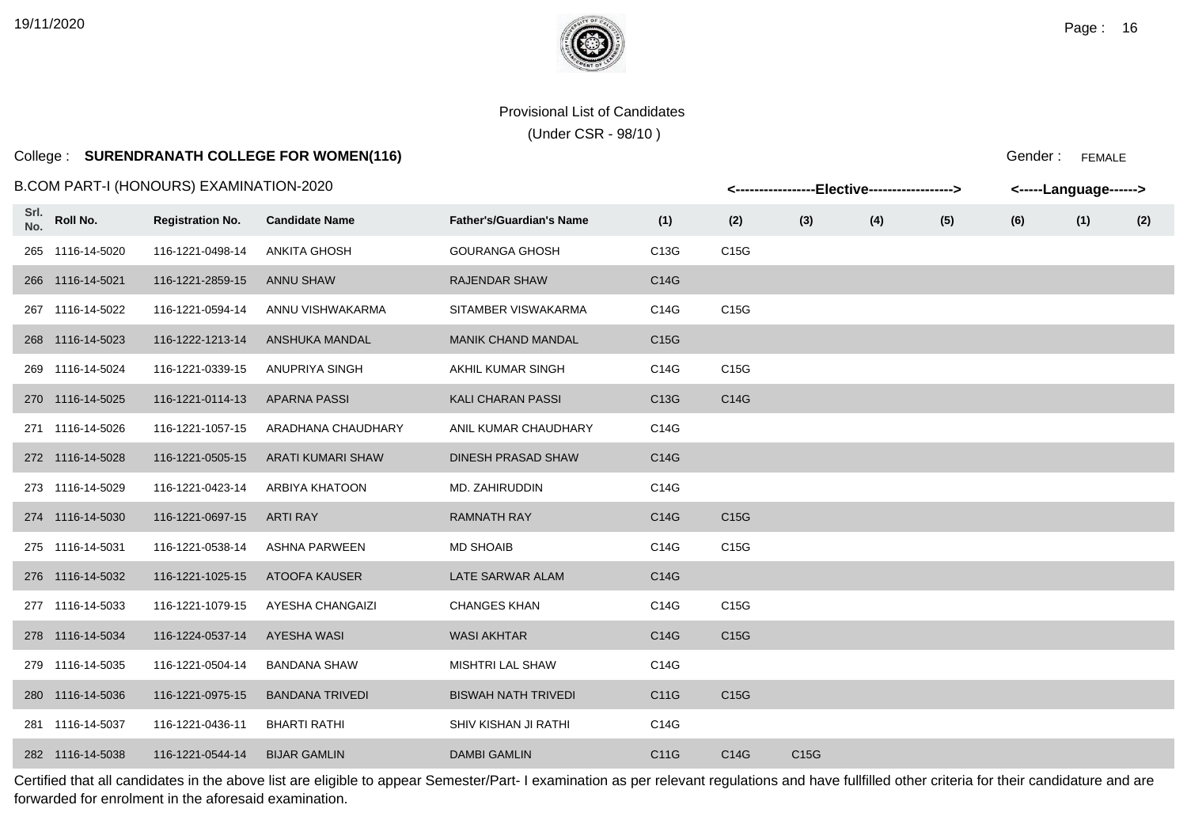(Under CSR - 98/10 )

# College : **SURENDRANATH COLLEGE FOR WOMEN(116)**

#### B.COM PART-I (HONOURS) EXAMINATION-2020

|             |                  | 3.COM PART-I (HONOURS) EXAMINATION-2020 |                        |                                 |      |                   |      | <-----------------Elective-----------------> |     |     | <-----Language------> |     |
|-------------|------------------|-----------------------------------------|------------------------|---------------------------------|------|-------------------|------|----------------------------------------------|-----|-----|-----------------------|-----|
| Srl.<br>No. | Roll No.         | <b>Registration No.</b>                 | <b>Candidate Name</b>  | <b>Father's/Guardian's Name</b> | (1)  | (2)               | (3)  | (4)                                          | (5) | (6) | (1)                   | (2) |
|             | 265 1116-14-5020 | 116-1221-0498-14                        | ANKITA GHOSH           | <b>GOURANGA GHOSH</b>           | C13G | C15G              |      |                                              |     |     |                       |     |
|             | 266 1116-14-5021 | 116-1221-2859-15                        | ANNU SHAW              | <b>RAJENDAR SHAW</b>            | C14G |                   |      |                                              |     |     |                       |     |
|             | 267 1116-14-5022 | 116-1221-0594-14                        | ANNU VISHWAKARMA       | SITAMBER VISWAKARMA             | C14G | C15G              |      |                                              |     |     |                       |     |
|             | 268 1116-14-5023 | 116-1222-1213-14                        | ANSHUKA MANDAL         | <b>MANIK CHAND MANDAL</b>       | C15G |                   |      |                                              |     |     |                       |     |
|             | 269 1116-14-5024 | 116-1221-0339-15                        | ANUPRIYA SINGH         | AKHIL KUMAR SINGH               | C14G | C15G              |      |                                              |     |     |                       |     |
|             | 270 1116-14-5025 | 116-1221-0114-13                        | APARNA PASSI           | <b>KALI CHARAN PASSI</b>        | C13G | C14G              |      |                                              |     |     |                       |     |
|             | 271 1116-14-5026 | 116-1221-1057-15                        | ARADHANA CHAUDHARY     | ANIL KUMAR CHAUDHARY            | C14G |                   |      |                                              |     |     |                       |     |
|             | 272 1116-14-5028 | 116-1221-0505-15                        | ARATI KUMARI SHAW      | <b>DINESH PRASAD SHAW</b>       | C14G |                   |      |                                              |     |     |                       |     |
|             | 273 1116-14-5029 | 116-1221-0423-14                        | ARBIYA KHATOON         | MD. ZAHIRUDDIN                  | C14G |                   |      |                                              |     |     |                       |     |
|             | 274 1116-14-5030 | 116-1221-0697-15                        | ARTI RAY               | <b>RAMNATH RAY</b>              | C14G | C <sub>15</sub> G |      |                                              |     |     |                       |     |
|             | 275 1116-14-5031 | 116-1221-0538-14                        | ASHNA PARWEEN          | <b>MD SHOAIB</b>                | C14G | C15G              |      |                                              |     |     |                       |     |
|             | 276 1116-14-5032 | 116-1221-1025-15                        | ATOOFA KAUSER          | LATE SARWAR ALAM                | C14G |                   |      |                                              |     |     |                       |     |
|             | 277 1116-14-5033 | 116-1221-1079-15                        | AYESHA CHANGAIZI       | <b>CHANGES KHAN</b>             | C14G | C15G              |      |                                              |     |     |                       |     |
|             | 278 1116-14-5034 | 116-1224-0537-14                        | AYESHA WASI            | <b>WASI AKHTAR</b>              | C14G | C15G              |      |                                              |     |     |                       |     |
|             | 279 1116-14-5035 | 116-1221-0504-14                        | <b>BANDANA SHAW</b>    | <b>MISHTRI LAL SHAW</b>         | C14G |                   |      |                                              |     |     |                       |     |
|             | 280 1116-14-5036 | 116-1221-0975-15                        | <b>BANDANA TRIVEDI</b> | <b>BISWAH NATH TRIVEDI</b>      | C11G | C15G              |      |                                              |     |     |                       |     |
|             | 281 1116-14-5037 | 116-1221-0436-11                        | <b>BHARTI RATHI</b>    | SHIV KISHAN JI RATHI            | C14G |                   |      |                                              |     |     |                       |     |
|             | 282 1116-14-5038 | 116-1221-0544-14                        | <b>BIJAR GAMLIN</b>    | <b>DAMBI GAMLIN</b>             | C11G | C14G              | C15G |                                              |     |     |                       |     |

Certified that all candidates in the above list are eligible to appear Semester/Part- I examination as per relevant regulations and have fullfilled other criteria for their candidature and are forwarded for enrolment in the aforesaid examination.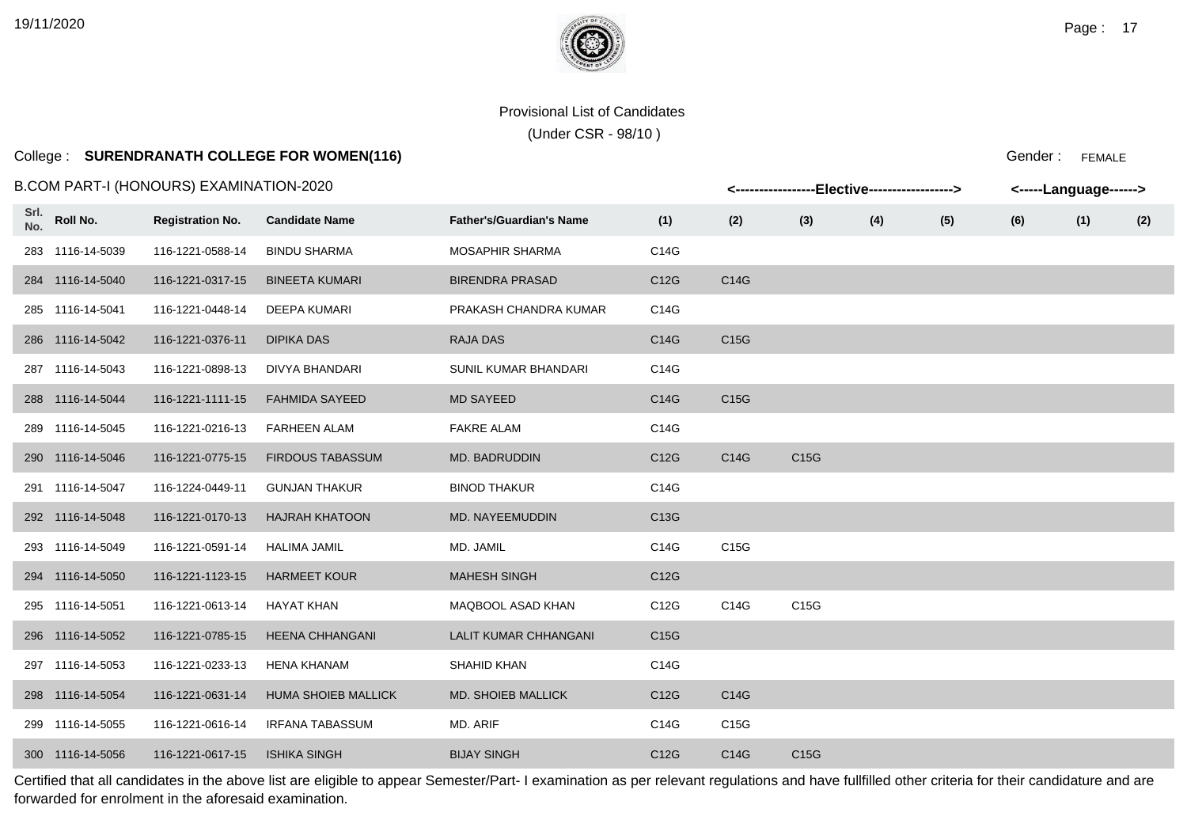(Under CSR - 98/10 )

## College : **SURENDRANATH COLLEGE FOR WOMEN(116)**

B.COM PART-I (HONOURS) EXAMINATION-2020

|             | .COM PART-I (HONOURS) EXAMINATION-2020 |                         |                            |                                 |                   |                   | <-----------------Elective-----------------> |     |     |     | <-----Language------> |     |
|-------------|----------------------------------------|-------------------------|----------------------------|---------------------------------|-------------------|-------------------|----------------------------------------------|-----|-----|-----|-----------------------|-----|
| Srl.<br>No. | Roll No.                               | <b>Registration No.</b> | <b>Candidate Name</b>      | <b>Father's/Guardian's Name</b> | (1)               | (2)               | (3)                                          | (4) | (5) | (6) | (1)                   | (2) |
|             | 283 1116-14-5039                       | 116-1221-0588-14        | <b>BINDU SHARMA</b>        | MOSAPHIR SHARMA                 | C14G              |                   |                                              |     |     |     |                       |     |
|             | 284 1116-14-5040                       | 116-1221-0317-15        | <b>BINEETA KUMARI</b>      | <b>BIRENDRA PRASAD</b>          | C12G              | C14G              |                                              |     |     |     |                       |     |
|             | 285 1116-14-5041                       | 116-1221-0448-14        | <b>DEEPA KUMARI</b>        | PRAKASH CHANDRA KUMAR           | C14G              |                   |                                              |     |     |     |                       |     |
|             | 286 1116-14-5042                       | 116-1221-0376-11        | <b>DIPIKA DAS</b>          | <b>RAJA DAS</b>                 | C14G              | C <sub>15</sub> G |                                              |     |     |     |                       |     |
|             | 287 1116-14-5043                       | 116-1221-0898-13        | DIVYA BHANDARI             | SUNIL KUMAR BHANDARI            | C14G              |                   |                                              |     |     |     |                       |     |
|             | 288 1116-14-5044                       | 116-1221-1111-15        | <b>FAHMIDA SAYEED</b>      | <b>MD SAYEED</b>                | C14G              | C <sub>15</sub> G |                                              |     |     |     |                       |     |
|             | 289 1116-14-5045                       | 116-1221-0216-13        | <b>FARHEEN ALAM</b>        | <b>FAKRE ALAM</b>               | C14G              |                   |                                              |     |     |     |                       |     |
|             | 290 1116-14-5046                       | 116-1221-0775-15        | <b>FIRDOUS TABASSUM</b>    | MD. BADRUDDIN                   | C <sub>12</sub> G | C14G              | C <sub>15</sub> G                            |     |     |     |                       |     |
|             | 291 1116-14-5047                       | 116-1224-0449-11        | <b>GUNJAN THAKUR</b>       | <b>BINOD THAKUR</b>             | C14G              |                   |                                              |     |     |     |                       |     |
|             | 292 1116-14-5048                       | 116-1221-0170-13        | <b>HAJRAH KHATOON</b>      | <b>MD. NAYEEMUDDIN</b>          | C13G              |                   |                                              |     |     |     |                       |     |
|             | 293 1116-14-5049                       | 116-1221-0591-14        | <b>HALIMA JAMIL</b>        | MD. JAMIL                       | C14G              | C15G              |                                              |     |     |     |                       |     |
|             | 294 1116-14-5050                       | 116-1221-1123-15        | <b>HARMEET KOUR</b>        | <b>MAHESH SINGH</b>             | C <sub>12</sub> G |                   |                                              |     |     |     |                       |     |
|             | 295 1116-14-5051                       | 116-1221-0613-14        | <b>HAYAT KHAN</b>          | MAQBOOL ASAD KHAN               | C12G              | C14G              | C15G                                         |     |     |     |                       |     |
|             | 296 1116-14-5052                       | 116-1221-0785-15        | <b>HEENA CHHANGANI</b>     | <b>LALIT KUMAR CHHANGANI</b>    | C <sub>15</sub> G |                   |                                              |     |     |     |                       |     |
|             | 297 1116-14-5053                       | 116-1221-0233-13        | <b>HENA KHANAM</b>         | SHAHID KHAN                     | C14G              |                   |                                              |     |     |     |                       |     |
|             | 298 1116-14-5054                       | 116-1221-0631-14        | <b>HUMA SHOIEB MALLICK</b> | <b>MD. SHOIEB MALLICK</b>       | C12G              | C14G              |                                              |     |     |     |                       |     |
|             | 299 1116-14-5055                       | 116-1221-0616-14        | <b>IRFANA TABASSUM</b>     | MD. ARIF                        | C14G              | C15G              |                                              |     |     |     |                       |     |
|             | 300 1116-14-5056                       | 116-1221-0617-15        | <b>ISHIKA SINGH</b>        | <b>BIJAY SINGH</b>              | C12G              | C14G              | C15G                                         |     |     |     |                       |     |

Certified that all candidates in the above list are eligible to appear Semester/Part- I examination as per relevant regulations and have fullfilled other criteria for their candidature and are forwarded for enrolment in the aforesaid examination.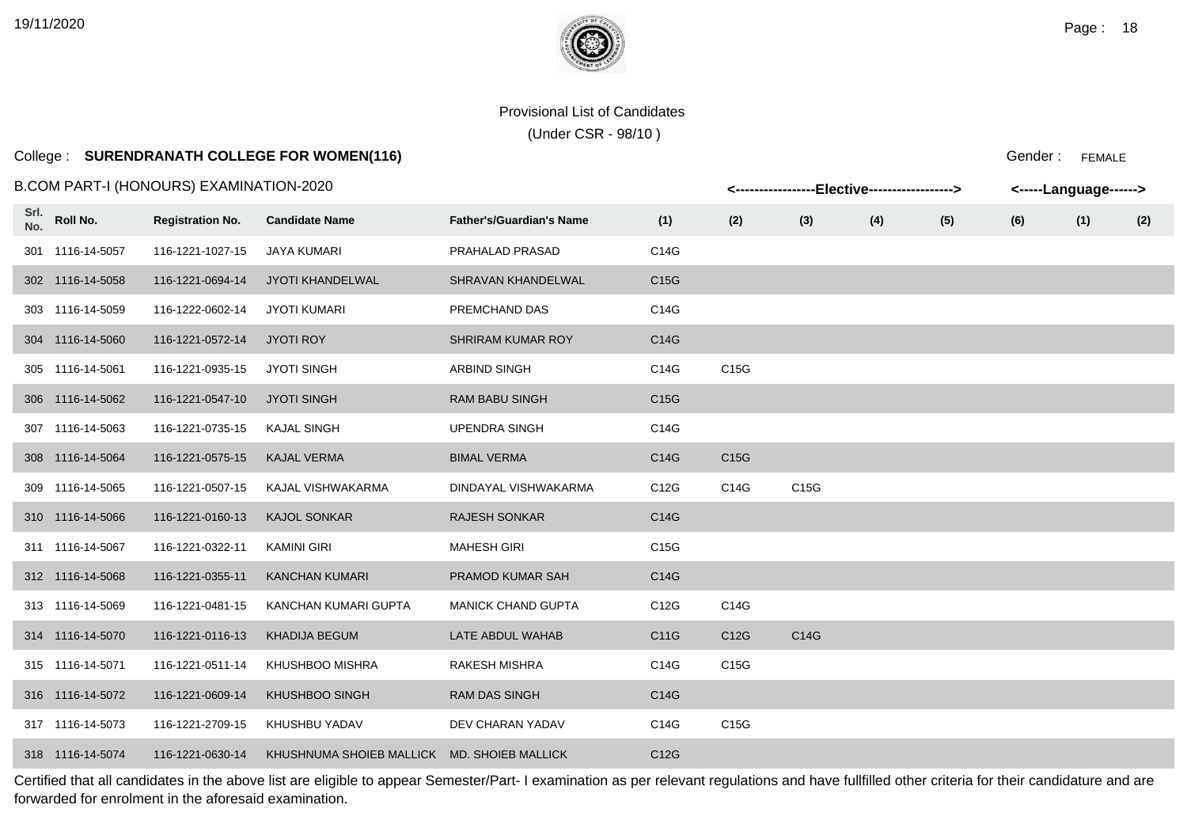(Under CSR - 98/10 )

# College : **SURENDRANATH COLLEGE FOR WOMEN(116)**

#### B.COM PART-I (HONOURS) EXAMINATION-2020

|             |                  | .COM PART-I (HONOURS) EXAMINATION-2020 |                                             |                                 |      |      | <-----------------Elective-----------------> |     |     |     | <-----Language------> |     |
|-------------|------------------|----------------------------------------|---------------------------------------------|---------------------------------|------|------|----------------------------------------------|-----|-----|-----|-----------------------|-----|
| Srl.<br>No. | Roll No.         | <b>Registration No.</b>                | <b>Candidate Name</b>                       | <b>Father's/Guardian's Name</b> | (1)  | (2)  | (3)                                          | (4) | (5) | (6) | (1)                   | (2) |
|             | 301 1116-14-5057 | 116-1221-1027-15                       | <b>JAYA KUMARI</b>                          | PRAHALAD PRASAD                 | C14G |      |                                              |     |     |     |                       |     |
|             | 302 1116-14-5058 | 116-1221-0694-14                       | JYOTI KHANDELWAL                            | SHRAVAN KHANDELWAL              | C15G |      |                                              |     |     |     |                       |     |
|             | 303 1116-14-5059 | 116-1222-0602-14                       | <b>JYOTI KUMARI</b>                         | PREMCHAND DAS                   | C14G |      |                                              |     |     |     |                       |     |
|             | 304 1116-14-5060 | 116-1221-0572-14                       | <b>JYOTI ROY</b>                            | <b>SHRIRAM KUMAR ROY</b>        | C14G |      |                                              |     |     |     |                       |     |
|             | 305 1116-14-5061 | 116-1221-0935-15                       | <b>JYOTI SINGH</b>                          | <b>ARBIND SINGH</b>             | C14G | C15G |                                              |     |     |     |                       |     |
|             | 306 1116-14-5062 | 116-1221-0547-10                       | <b>JYOTI SINGH</b>                          | <b>RAM BABU SINGH</b>           | C15G |      |                                              |     |     |     |                       |     |
|             | 307 1116-14-5063 | 116-1221-0735-15                       | <b>KAJAL SINGH</b>                          | <b>UPENDRA SINGH</b>            | C14G |      |                                              |     |     |     |                       |     |
|             | 308 1116-14-5064 | 116-1221-0575-15                       | <b>KAJAL VERMA</b>                          | <b>BIMAL VERMA</b>              | C14G | C15G |                                              |     |     |     |                       |     |
|             | 309 1116-14-5065 | 116-1221-0507-15                       | KAJAL VISHWAKARMA                           | DINDAYAL VISHWAKARMA            | C12G | C14G | C15G                                         |     |     |     |                       |     |
|             | 310 1116-14-5066 | 116-1221-0160-13                       | <b>KAJOL SONKAR</b>                         | <b>RAJESH SONKAR</b>            | C14G |      |                                              |     |     |     |                       |     |
|             | 311 1116-14-5067 | 116-1221-0322-11                       | <b>KAMINI GIRI</b>                          | <b>MAHESH GIRI</b>              | C15G |      |                                              |     |     |     |                       |     |
|             | 312 1116-14-5068 | 116-1221-0355-11                       | <b>KANCHAN KUMARI</b>                       | PRAMOD KUMAR SAH                | C14G |      |                                              |     |     |     |                       |     |
|             | 313 1116-14-5069 | 116-1221-0481-15                       | KANCHAN KUMARI GUPTA                        | <b>MANICK CHAND GUPTA</b>       | C12G | C14G |                                              |     |     |     |                       |     |
|             | 314 1116-14-5070 | 116-1221-0116-13                       | <b>KHADIJA BEGUM</b>                        | LATE ABDUL WAHAB                | C11G | C12G | C14G                                         |     |     |     |                       |     |
|             | 315 1116-14-5071 | 116-1221-0511-14                       | KHUSHBOO MISHRA                             | <b>RAKESH MISHRA</b>            | C14G | C15G |                                              |     |     |     |                       |     |
|             | 316 1116-14-5072 | 116-1221-0609-14                       | <b>KHUSHBOO SINGH</b>                       | <b>RAM DAS SINGH</b>            | C14G |      |                                              |     |     |     |                       |     |
|             | 317 1116-14-5073 | 116-1221-2709-15                       | KHUSHBU YADAV                               | DEV CHARAN YADAV                | C14G | C15G |                                              |     |     |     |                       |     |
|             | 318 1116-14-5074 | 116-1221-0630-14                       | KHUSHNUMA SHOIEB MALLICK MD. SHOIEB MALLICK |                                 | C12G |      |                                              |     |     |     |                       |     |

Certified that all candidates in the above list are eligible to appear Semester/Part- I examination as per relevant regulations and have fullfilled other criteria for their candidature and are forwarded for enrolment in the aforesaid examination.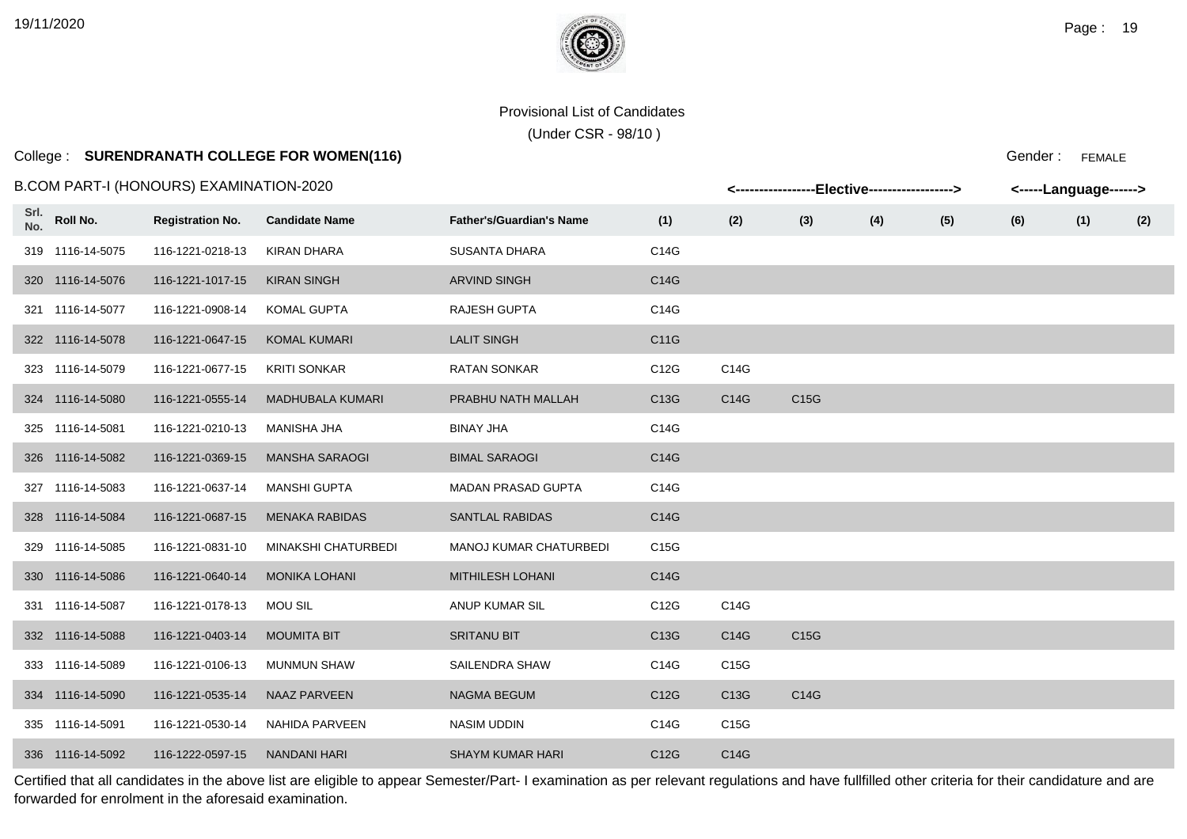**Srl.**

#### Provisional List of Candidates

(Under CSR - 98/10 )

### College : **SURENDRANATH COLLEGE FOR WOMEN(116)**

B.COM PART-I (HONOURS) EXAMINATION-2020

| Srl.<br>No. | Roll No.         | <b>Registration No.</b> | <b>Candidate Name</b>      | <b>Father's/Guardian's Name</b> | (1)               | (2)               | (3)               | (4) | (5) | (6) | (1) | (2) |
|-------------|------------------|-------------------------|----------------------------|---------------------------------|-------------------|-------------------|-------------------|-----|-----|-----|-----|-----|
|             | 319 1116-14-5075 | 116-1221-0218-13        | <b>KIRAN DHARA</b>         | <b>SUSANTA DHARA</b>            | C14G              |                   |                   |     |     |     |     |     |
|             | 320 1116-14-5076 | 116-1221-1017-15        | <b>KIRAN SINGH</b>         | <b>ARVIND SINGH</b>             | C14G              |                   |                   |     |     |     |     |     |
|             | 321 1116-14-5077 | 116-1221-0908-14        | <b>KOMAL GUPTA</b>         | <b>RAJESH GUPTA</b>             | C14G              |                   |                   |     |     |     |     |     |
|             | 322 1116-14-5078 | 116-1221-0647-15        | <b>KOMAL KUMARI</b>        | <b>LALIT SINGH</b>              | C11G              |                   |                   |     |     |     |     |     |
|             | 323 1116-14-5079 | 116-1221-0677-15        | <b>KRITI SONKAR</b>        | <b>RATAN SONKAR</b>             | C12G              | C14G              |                   |     |     |     |     |     |
|             | 324 1116-14-5080 | 116-1221-0555-14        | <b>MADHUBALA KUMARI</b>    | PRABHU NATH MALLAH              | C13G              | C14G              | C <sub>15</sub> G |     |     |     |     |     |
|             | 325 1116-14-5081 | 116-1221-0210-13        | <b>MANISHA JHA</b>         | <b>BINAY JHA</b>                | C14G              |                   |                   |     |     |     |     |     |
|             | 326 1116-14-5082 | 116-1221-0369-15        | <b>MANSHA SARAOGI</b>      | <b>BIMAL SARAOGI</b>            | C14G              |                   |                   |     |     |     |     |     |
|             | 327 1116-14-5083 | 116-1221-0637-14        | <b>MANSHI GUPTA</b>        | <b>MADAN PRASAD GUPTA</b>       | C14G              |                   |                   |     |     |     |     |     |
|             | 328 1116-14-5084 | 116-1221-0687-15        | <b>MENAKA RABIDAS</b>      | <b>SANTLAL RABIDAS</b>          | C14G              |                   |                   |     |     |     |     |     |
|             | 329 1116-14-5085 | 116-1221-0831-10        | <b>MINAKSHI CHATURBEDI</b> | <b>MANOJ KUMAR CHATURBEDI</b>   | C15G              |                   |                   |     |     |     |     |     |
|             | 330 1116-14-5086 | 116-1221-0640-14        | <b>MONIKA LOHANI</b>       | <b>MITHILESH LOHANI</b>         | C14G              |                   |                   |     |     |     |     |     |
|             | 331 1116-14-5087 | 116-1221-0178-13        | <b>MOU SIL</b>             | ANUP KUMAR SIL                  | C12G              | C14G              |                   |     |     |     |     |     |
|             | 332 1116-14-5088 | 116-1221-0403-14        | <b>MOUMITA BIT</b>         | <b>SRITANU BIT</b>              | C <sub>13</sub> G | C14G              | C <sub>15</sub> G |     |     |     |     |     |
|             | 333 1116-14-5089 | 116-1221-0106-13        | <b>MUNMUN SHAW</b>         | SAILENDRA SHAW                  | C14G              | C <sub>15</sub> G |                   |     |     |     |     |     |
|             | 334 1116-14-5090 | 116-1221-0535-14        | NAAZ PARVEEN               | <b>NAGMA BEGUM</b>              | C12G              | C13G              | C14G              |     |     |     |     |     |
|             | 335 1116-14-5091 | 116-1221-0530-14        | NAHIDA PARVEEN             | <b>NASIM UDDIN</b>              | C14G              | C15G              |                   |     |     |     |     |     |

Certified that all candidates in the above list are eligible to appear Semester/Part- I examination as per relevant regulations and have fullfilled other criteria for their candidature and are forwarded for enrolment in the aforesaid examination.

336 1116-14-5092 116-1222-0597-15 NANDANI HARI SHAYM KUMAR HARI C12G C14G

Gender : FEMALE

**<-----------------Elective------------------> <-----Language------>**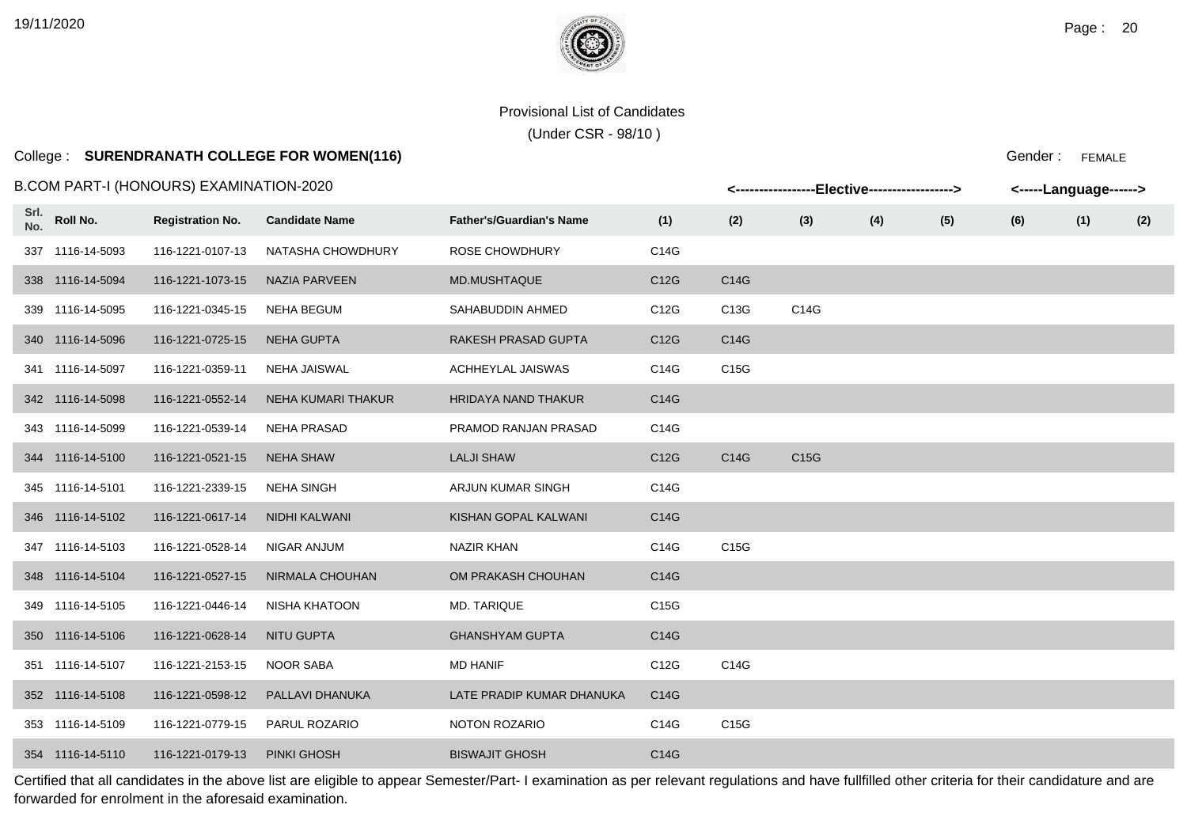**Srl.**

#### Provisional List of Candidates

(Under CSR - 98/10 )

### College : **SURENDRANATH COLLEGE FOR WOMEN(116)**

B.COM PART-I (HONOURS) EXAMINATION-2020

|      |                  | .COM PART-I (HONOURS) EXAMINATION-2020 |                       |                                 |                   |                   | <-----------------Elective-----------------> |     |     |     | <-----Language------> |     |
|------|------------------|----------------------------------------|-----------------------|---------------------------------|-------------------|-------------------|----------------------------------------------|-----|-----|-----|-----------------------|-----|
| Srl. | No. Roll No.     | <b>Registration No.</b>                | <b>Candidate Name</b> | <b>Father's/Guardian's Name</b> | (1)               | (2)               | (3)                                          | (4) | (5) | (6) | (1)                   | (2) |
|      | 337 1116-14-5093 | 116-1221-0107-13                       | NATASHA CHOWDHURY     | ROSE CHOWDHURY                  | C14G              |                   |                                              |     |     |     |                       |     |
|      | 338 1116-14-5094 | 116-1221-1073-15                       | NAZIA PARVEEN         | MD.MUSHTAQUE                    | C12G              | C14G              |                                              |     |     |     |                       |     |
|      | 339 1116-14-5095 | 116-1221-0345-15                       | <b>NEHA BEGUM</b>     | SAHABUDDIN AHMED                | C12G              | C13G              | C14G                                         |     |     |     |                       |     |
|      | 340 1116-14-5096 | 116-1221-0725-15                       | <b>NEHA GUPTA</b>     | RAKESH PRASAD GUPTA             | C12G              | C14G              |                                              |     |     |     |                       |     |
|      | 341 1116-14-5097 | 116-1221-0359-11                       | <b>NEHA JAISWAL</b>   | <b>ACHHEYLAL JAISWAS</b>        | C14G              | C <sub>15</sub> G |                                              |     |     |     |                       |     |
|      | 342 1116-14-5098 | 116-1221-0552-14                       | NEHA KUMARI THAKUR    | <b>HRIDAYA NAND THAKUR</b>      | C14G              |                   |                                              |     |     |     |                       |     |
|      | 343 1116-14-5099 | 116-1221-0539-14                       | <b>NEHA PRASAD</b>    | PRAMOD RANJAN PRASAD            | C14G              |                   |                                              |     |     |     |                       |     |
|      | 344 1116-14-5100 | 116-1221-0521-15                       | <b>NEHA SHAW</b>      | <b>LALJI SHAW</b>               | C <sub>12</sub> G | C14G              | C <sub>15</sub> G                            |     |     |     |                       |     |
|      | 345 1116-14-5101 | 116-1221-2339-15                       | <b>NEHA SINGH</b>     | ARJUN KUMAR SINGH               | C14G              |                   |                                              |     |     |     |                       |     |
|      | 346 1116-14-5102 | 116-1221-0617-14                       | NIDHI KALWANI         | KISHAN GOPAL KALWANI            | C14G              |                   |                                              |     |     |     |                       |     |
|      | 347 1116-14-5103 | 116-1221-0528-14                       | <b>NIGAR ANJUM</b>    | NAZIR KHAN                      | C14G              | C <sub>15</sub> G |                                              |     |     |     |                       |     |
|      | 348 1116-14-5104 | 116-1221-0527-15                       | NIRMALA CHOUHAN       | OM PRAKASH CHOUHAN              | C14G              |                   |                                              |     |     |     |                       |     |
|      | 349 1116-14-5105 | 116-1221-0446-14                       | NISHA KHATOON         | <b>MD. TARIQUE</b>              | C15G              |                   |                                              |     |     |     |                       |     |
|      | 350 1116-14-5106 | 116-1221-0628-14                       | NITU GUPTA            | <b>GHANSHYAM GUPTA</b>          | C14G              |                   |                                              |     |     |     |                       |     |
|      | 351 1116-14-5107 | 116-1221-2153-15                       | NOOR SABA             | <b>MD HANIF</b>                 | C12G              | C14G              |                                              |     |     |     |                       |     |
|      | 352 1116-14-5108 | 116-1221-0598-12                       | PALLAVI DHANUKA       | LATE PRADIP KUMAR DHANUKA       | C14G              |                   |                                              |     |     |     |                       |     |
|      | 353 1116-14-5109 | 116-1221-0779-15                       | PARUL ROZARIO         | NOTON ROZARIO                   | C14G              | C15G              |                                              |     |     |     |                       |     |
|      | 354 1116-14-5110 | 116-1221-0179-13                       | <b>PINKI GHOSH</b>    | <b>BISWAJIT GHOSH</b>           | C14G              |                   |                                              |     |     |     |                       |     |

Certified that all candidates in the above list are eligible to appear Semester/Part- I examination as per relevant regulations and have fullfilled other criteria for their candidature and are forwarded for enrolment in the aforesaid examination.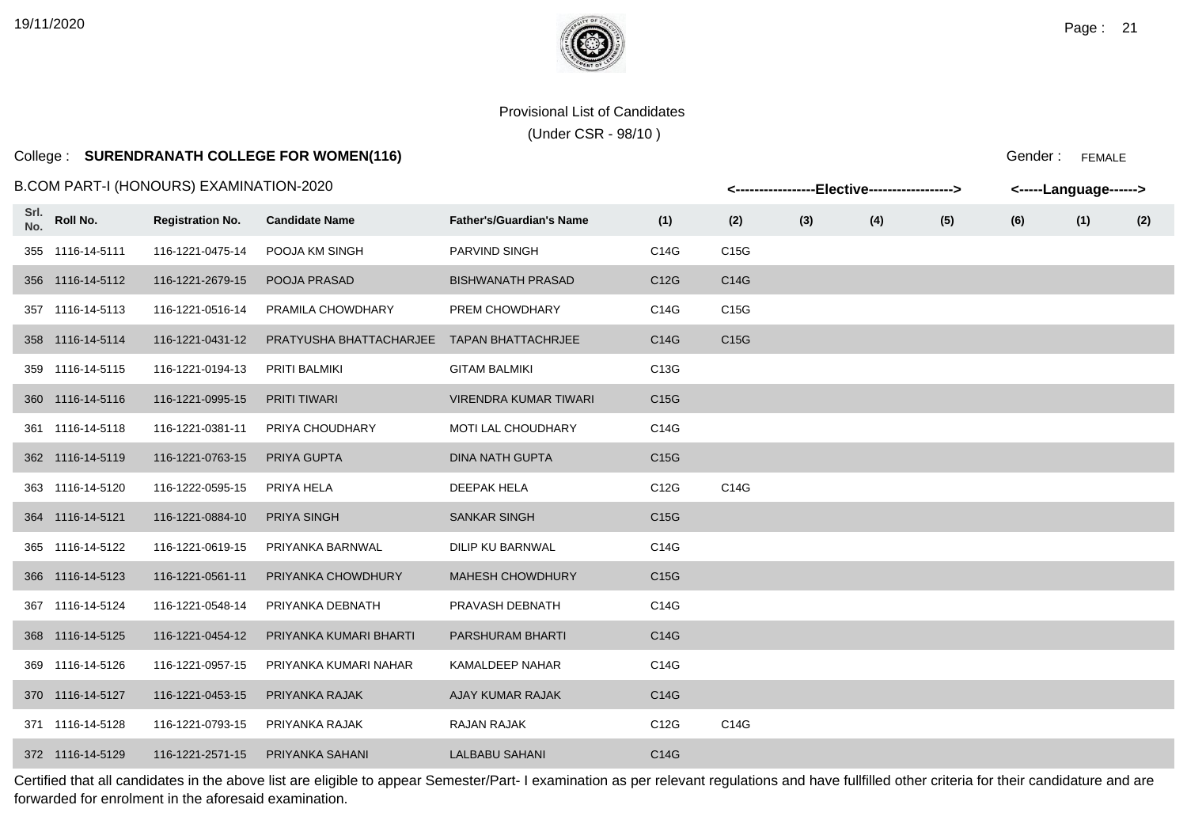(Under CSR - 98/10 )

# College : **SURENDRANATH COLLEGE FOR WOMEN(116)**

#### B.COM PART-I (HONOURS) EXAMINATION-2020

|             |                  | 3.COM PART-I (HONOURS) EXAMINATION-2020 |                         |                                 |                   |                   |     | <-----------------Elective-----------------> |     | <-----Language------> |     |     |
|-------------|------------------|-----------------------------------------|-------------------------|---------------------------------|-------------------|-------------------|-----|----------------------------------------------|-----|-----------------------|-----|-----|
| Srl.<br>No. | Roll No.         | <b>Registration No.</b>                 | <b>Candidate Name</b>   | <b>Father's/Guardian's Name</b> | (1)               | (2)               | (3) | (4)                                          | (5) | (6)                   | (1) | (2) |
|             | 355 1116-14-5111 | 116-1221-0475-14                        | POOJA KM SINGH          | PARVIND SINGH                   | C14G              | C15G              |     |                                              |     |                       |     |     |
|             | 356 1116-14-5112 | 116-1221-2679-15                        | POOJA PRASAD            | <b>BISHWANATH PRASAD</b>        | C12G              | C14G              |     |                                              |     |                       |     |     |
|             | 357 1116-14-5113 | 116-1221-0516-14                        | PRAMILA CHOWDHARY       | PREM CHOWDHARY                  | C14G              | C <sub>15</sub> G |     |                                              |     |                       |     |     |
|             | 358 1116-14-5114 | 116-1221-0431-12                        | PRATYUSHA BHATTACHARJEE | <b>TAPAN BHATTACHRJEE</b>       | C14G              | C15G              |     |                                              |     |                       |     |     |
|             | 359 1116-14-5115 | 116-1221-0194-13                        | PRITI BALMIKI           | <b>GITAM BALMIKI</b>            | C13G              |                   |     |                                              |     |                       |     |     |
|             | 360 1116-14-5116 | 116-1221-0995-15                        | <b>PRITI TIWARI</b>     | <b>VIRENDRA KUMAR TIWARI</b>    | C <sub>15</sub> G |                   |     |                                              |     |                       |     |     |
|             | 361 1116-14-5118 | 116-1221-0381-11                        | PRIYA CHOUDHARY         | MOTI LAL CHOUDHARY              | C14G              |                   |     |                                              |     |                       |     |     |
|             | 362 1116-14-5119 | 116-1221-0763-15                        | PRIYA GUPTA             | <b>DINA NATH GUPTA</b>          | C15G              |                   |     |                                              |     |                       |     |     |
|             | 363 1116-14-5120 | 116-1222-0595-15                        | PRIYA HELA              | <b>DEEPAK HELA</b>              | C12G              | C14G              |     |                                              |     |                       |     |     |
|             | 364 1116-14-5121 | 116-1221-0884-10                        | <b>PRIYA SINGH</b>      | <b>SANKAR SINGH</b>             | C15G              |                   |     |                                              |     |                       |     |     |
|             | 365 1116-14-5122 | 116-1221-0619-15                        | PRIYANKA BARNWAL        | DILIP KU BARNWAL                | C14G              |                   |     |                                              |     |                       |     |     |
|             | 366 1116-14-5123 | 116-1221-0561-11                        | PRIYANKA CHOWDHURY      | <b>MAHESH CHOWDHURY</b>         | C15G              |                   |     |                                              |     |                       |     |     |
|             | 367 1116-14-5124 | 116-1221-0548-14                        | PRIYANKA DEBNATH        | PRAVASH DEBNATH                 | C14G              |                   |     |                                              |     |                       |     |     |
|             | 368 1116-14-5125 | 116-1221-0454-12                        | PRIYANKA KUMARI BHARTI  | <b>PARSHURAM BHARTI</b>         | C14G              |                   |     |                                              |     |                       |     |     |
|             | 369 1116-14-5126 | 116-1221-0957-15                        | PRIYANKA KUMARI NAHAR   | KAMALDEEP NAHAR                 | C14G              |                   |     |                                              |     |                       |     |     |
|             | 370 1116-14-5127 | 116-1221-0453-15                        | PRIYANKA RAJAK          | AJAY KUMAR RAJAK                | C14G              |                   |     |                                              |     |                       |     |     |
|             | 371 1116-14-5128 | 116-1221-0793-15                        | PRIYANKA RAJAK          | RAJAN RAJAK                     | C12G              | C14G              |     |                                              |     |                       |     |     |
|             | 372 1116-14-5129 | 116-1221-2571-15                        | PRIYANKA SAHANI         | <b>LALBABU SAHANI</b>           | C14G              |                   |     |                                              |     |                       |     |     |

Certified that all candidates in the above list are eligible to appear Semester/Part- I examination as per relevant regulations and have fullfilled other criteria for their candidature and are forwarded for enrolment in the aforesaid examination.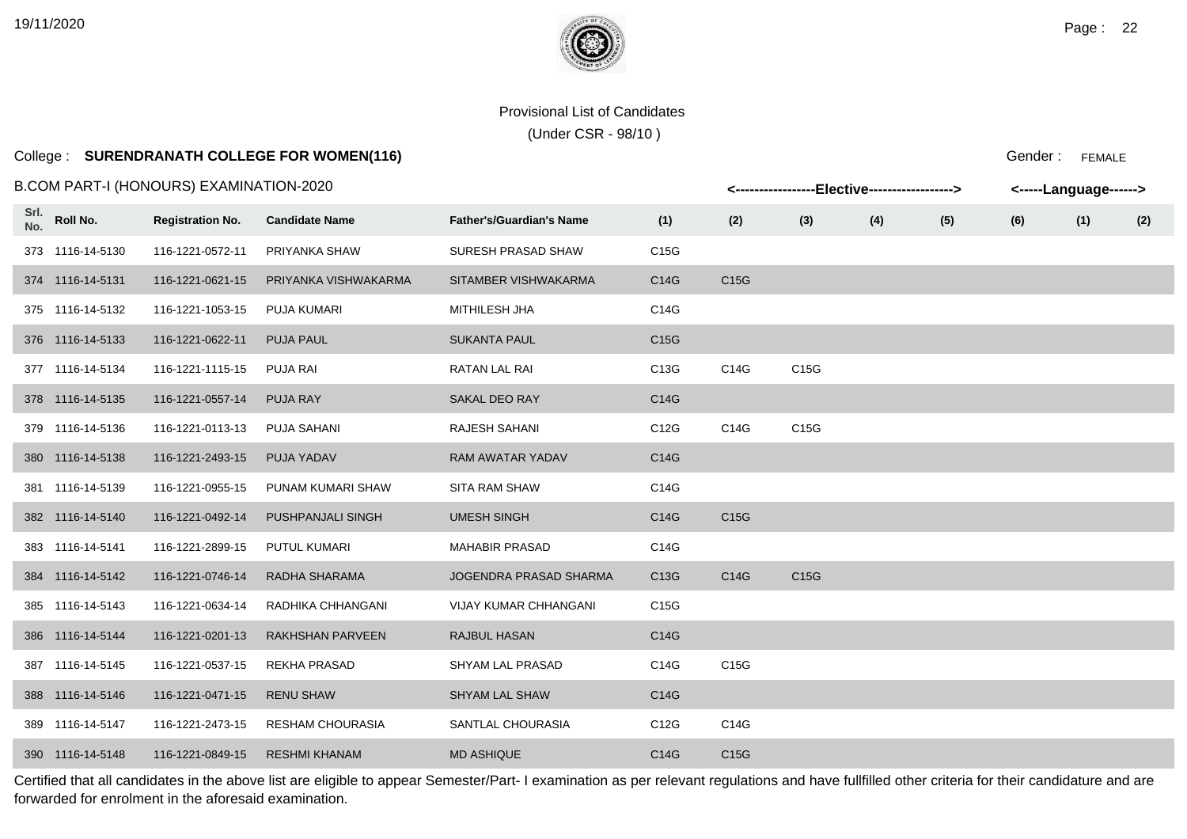(Under CSR - 98/10 )

# College : **SURENDRANATH COLLEGE FOR WOMEN(116)**

Gender : FEMALE

|             |                  | B.COM PART-I (HONOURS) EXAMINATION-2020 |                         |                                 |      |      |      | <-----------------Elective-----------------> |     |     | <-----Language------> |     |
|-------------|------------------|-----------------------------------------|-------------------------|---------------------------------|------|------|------|----------------------------------------------|-----|-----|-----------------------|-----|
| Srl.<br>No. | Roll No.         | <b>Registration No.</b>                 | <b>Candidate Name</b>   | <b>Father's/Guardian's Name</b> | (1)  | (2)  | (3)  | (4)                                          | (5) | (6) | (1)                   | (2) |
|             | 373 1116-14-5130 | 116-1221-0572-11                        | PRIYANKA SHAW           | SURESH PRASAD SHAW              | C15G |      |      |                                              |     |     |                       |     |
|             | 374 1116-14-5131 | 116-1221-0621-15                        | PRIYANKA VISHWAKARMA    | SITAMBER VISHWAKARMA            | C14G | C15G |      |                                              |     |     |                       |     |
|             | 375 1116-14-5132 | 116-1221-1053-15                        | PUJA KUMARI             | MITHILESH JHA                   | C14G |      |      |                                              |     |     |                       |     |
|             | 376 1116-14-5133 | 116-1221-0622-11                        | <b>PUJA PAUL</b>        | <b>SUKANTA PAUL</b>             | C15G |      |      |                                              |     |     |                       |     |
|             | 377 1116-14-5134 | 116-1221-1115-15                        | PUJA RAI                | RATAN LAL RAI                   | C13G | C14G | C15G |                                              |     |     |                       |     |
|             | 378 1116-14-5135 | 116-1221-0557-14                        | <b>PUJA RAY</b>         | <b>SAKAL DEO RAY</b>            | C14G |      |      |                                              |     |     |                       |     |
|             | 379 1116-14-5136 | 116-1221-0113-13                        | <b>PUJA SAHANI</b>      | RAJESH SAHANI                   | C12G | C14G | C15G |                                              |     |     |                       |     |
|             | 380 1116-14-5138 | 116-1221-2493-15                        | <b>PUJA YADAV</b>       | RAM AWATAR YADAV                | C14G |      |      |                                              |     |     |                       |     |
|             | 381 1116-14-5139 | 116-1221-0955-15                        | PUNAM KUMARI SHAW       | SITA RAM SHAW                   | C14G |      |      |                                              |     |     |                       |     |
|             | 382 1116-14-5140 | 116-1221-0492-14                        | PUSHPANJALI SINGH       | <b>UMESH SINGH</b>              | C14G | C15G |      |                                              |     |     |                       |     |
|             | 383 1116-14-5141 | 116-1221-2899-15                        | PUTUL KUMARI            | <b>MAHABIR PRASAD</b>           | C14G |      |      |                                              |     |     |                       |     |
|             | 384 1116-14-5142 | 116-1221-0746-14                        | RADHA SHARAMA           | JOGENDRA PRASAD SHARMA          | C13G | C14G | C15G |                                              |     |     |                       |     |
|             | 385 1116-14-5143 | 116-1221-0634-14                        | RADHIKA CHHANGANI       | VIJAY KUMAR CHHANGANI           | C15G |      |      |                                              |     |     |                       |     |
|             | 386 1116-14-5144 | 116-1221-0201-13                        | <b>RAKHSHAN PARVEEN</b> | RAJBUL HASAN                    | C14G |      |      |                                              |     |     |                       |     |
|             | 387 1116-14-5145 | 116-1221-0537-15                        | <b>REKHA PRASAD</b>     | SHYAM LAL PRASAD                | C14G | C15G |      |                                              |     |     |                       |     |
|             | 388 1116-14-5146 | 116-1221-0471-15                        | <b>RENU SHAW</b>        | <b>SHYAM LAL SHAW</b>           | C14G |      |      |                                              |     |     |                       |     |
|             | 389 1116-14-5147 | 116-1221-2473-15                        | <b>RESHAM CHOURASIA</b> | SANTLAL CHOURASIA               | C12G | C14G |      |                                              |     |     |                       |     |
|             | 390 1116-14-5148 | 116-1221-0849-15                        | <b>RESHMI KHANAM</b>    | <b>MD ASHIQUE</b>               | C14G | C15G |      |                                              |     |     |                       |     |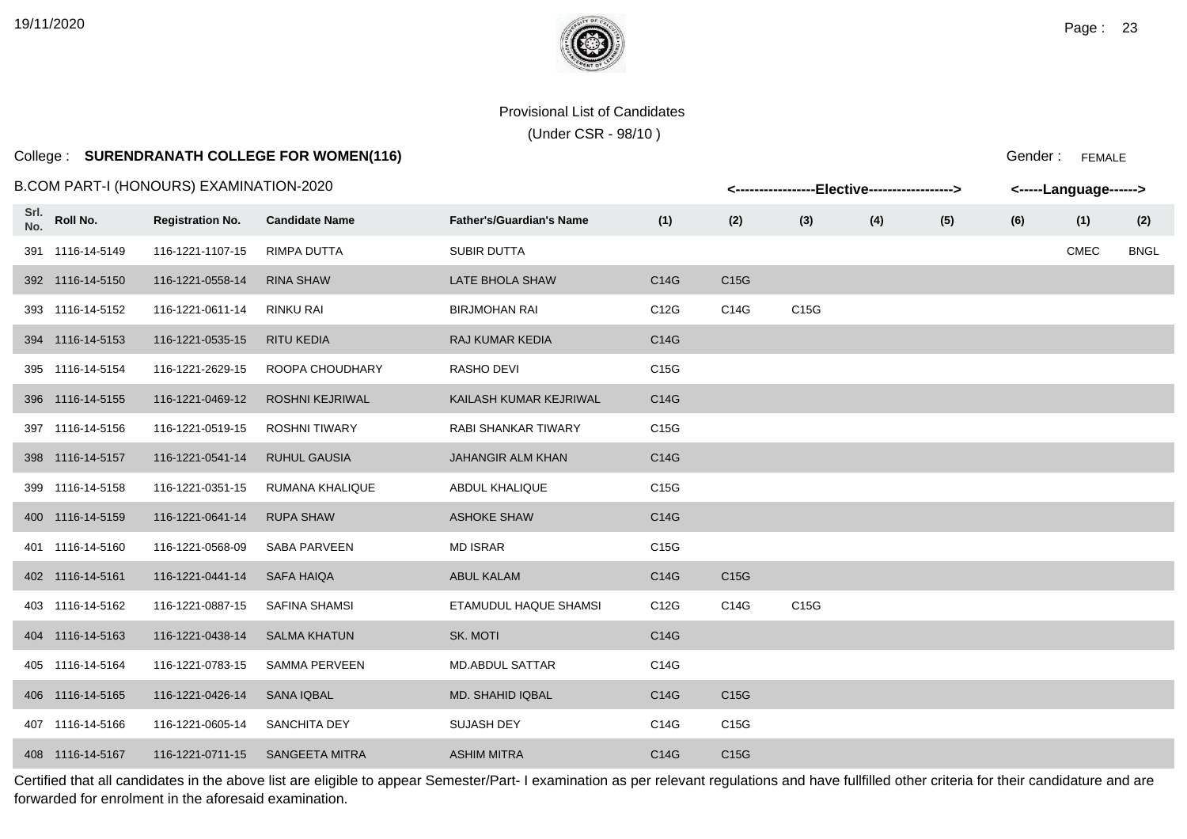(Under CSR - 98/10 )

# College : **SURENDRANATH COLLEGE FOR WOMEN(116)**

Gender : FEMALE

|             |                  | B.COM PART-I (HONOURS) EXAMINATION-2020 |                        |                                 |      |                   | <-----------------Elective-----------------> |     |     |     | <-----Language------> |             |
|-------------|------------------|-----------------------------------------|------------------------|---------------------------------|------|-------------------|----------------------------------------------|-----|-----|-----|-----------------------|-------------|
| Srl.<br>No. | Roll No.         | <b>Registration No.</b>                 | <b>Candidate Name</b>  | <b>Father's/Guardian's Name</b> | (1)  | (2)               | (3)                                          | (4) | (5) | (6) | (1)                   | (2)         |
|             | 391 1116-14-5149 | 116-1221-1107-15                        | RIMPA DUTTA            | <b>SUBIR DUTTA</b>              |      |                   |                                              |     |     |     | CMEC                  | <b>BNGL</b> |
|             | 392 1116-14-5150 | 116-1221-0558-14                        | <b>RINA SHAW</b>       | LATE BHOLA SHAW                 | C14G | C15G              |                                              |     |     |     |                       |             |
|             | 393 1116-14-5152 | 116-1221-0611-14                        | RINKU RAI              | <b>BIRJMOHAN RAI</b>            | C12G | C14G              | C15G                                         |     |     |     |                       |             |
|             | 394 1116-14-5153 | 116-1221-0535-15                        | <b>RITU KEDIA</b>      | RAJ KUMAR KEDIA                 | C14G |                   |                                              |     |     |     |                       |             |
|             | 395 1116-14-5154 | 116-1221-2629-15                        | ROOPA CHOUDHARY        | RASHO DEVI                      | C15G |                   |                                              |     |     |     |                       |             |
|             | 396 1116-14-5155 | 116-1221-0469-12                        | <b>ROSHNI KEJRIWAL</b> | KAILASH KUMAR KEJRIWAL          | C14G |                   |                                              |     |     |     |                       |             |
|             | 397 1116-14-5156 | 116-1221-0519-15                        | <b>ROSHNI TIWARY</b>   | RABI SHANKAR TIWARY             | C15G |                   |                                              |     |     |     |                       |             |
|             | 398 1116-14-5157 | 116-1221-0541-14                        | <b>RUHUL GAUSIA</b>    | <b>JAHANGIR ALM KHAN</b>        | C14G |                   |                                              |     |     |     |                       |             |
|             | 399 1116-14-5158 | 116-1221-0351-15                        | RUMANA KHALIQUE        | <b>ABDUL KHALIQUE</b>           | C15G |                   |                                              |     |     |     |                       |             |
|             | 400 1116-14-5159 | 116-1221-0641-14                        | <b>RUPA SHAW</b>       | ASHOKE SHAW                     | C14G |                   |                                              |     |     |     |                       |             |
|             | 401 1116-14-5160 | 116-1221-0568-09                        | SABA PARVEEN           | <b>MD ISRAR</b>                 | C15G |                   |                                              |     |     |     |                       |             |
|             | 402 1116-14-5161 | 116-1221-0441-14                        | <b>SAFA HAIQA</b>      | <b>ABUL KALAM</b>               | C14G | C15G              |                                              |     |     |     |                       |             |
|             | 403 1116-14-5162 | 116-1221-0887-15                        | <b>SAFINA SHAMSI</b>   | ETAMUDUL HAQUE SHAMSI           | C12G | C14G              | C15G                                         |     |     |     |                       |             |
|             | 404 1116-14-5163 | 116-1221-0438-14                        | <b>SALMA KHATUN</b>    | SK. MOTI                        | C14G |                   |                                              |     |     |     |                       |             |
|             | 405 1116-14-5164 | 116-1221-0783-15                        | <b>SAMMA PERVEEN</b>   | <b>MD.ABDUL SATTAR</b>          | C14G |                   |                                              |     |     |     |                       |             |
|             | 406 1116-14-5165 | 116-1221-0426-14                        | <b>SANA IQBAL</b>      | MD. SHAHID IQBAL                | C14G | C <sub>15</sub> G |                                              |     |     |     |                       |             |
|             | 407 1116-14-5166 | 116-1221-0605-14                        | <b>SANCHITA DEY</b>    | <b>SUJASH DEY</b>               | C14G | C15G              |                                              |     |     |     |                       |             |
|             | 408 1116-14-5167 | 116-1221-0711-15                        | <b>SANGEETA MITRA</b>  | <b>ASHIM MITRA</b>              | C14G | C15G              |                                              |     |     |     |                       |             |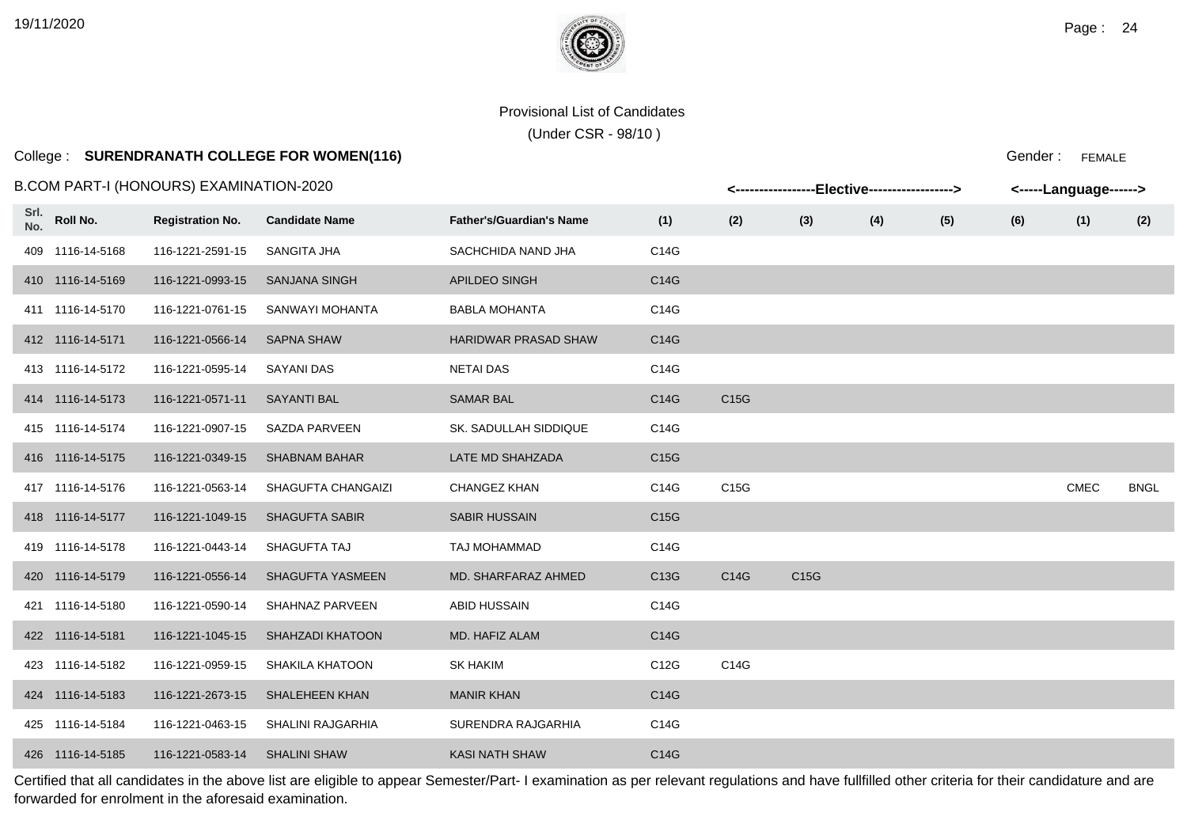(Under CSR - 98/10 )

# College : **SURENDRANATH COLLEGE FOR WOMEN(116)**

B.COM PART-I (HONOURS) EXAMINATION-2020

| 3.COM PART-I (HONOURS) EXAMINATION-2020 |                  |                         |                         |                                 |      | <-----------------Elective-----------------> |      |     |     | <-----Language------> |             |             |  |
|-----------------------------------------|------------------|-------------------------|-------------------------|---------------------------------|------|----------------------------------------------|------|-----|-----|-----------------------|-------------|-------------|--|
| Srl.<br>No.                             | Roll No.         | <b>Registration No.</b> | <b>Candidate Name</b>   | <b>Father's/Guardian's Name</b> | (1)  | (2)                                          | (3)  | (4) | (5) | (6)                   | (1)         | (2)         |  |
|                                         | 409 1116-14-5168 | 116-1221-2591-15        | SANGITA JHA             | SACHCHIDA NAND JHA              | C14G |                                              |      |     |     |                       |             |             |  |
|                                         | 410 1116-14-5169 | 116-1221-0993-15        | <b>SANJANA SINGH</b>    | <b>APILDEO SINGH</b>            | C14G |                                              |      |     |     |                       |             |             |  |
|                                         | 411 1116-14-5170 | 116-1221-0761-15        | SANWAYI MOHANTA         | <b>BABLA MOHANTA</b>            | C14G |                                              |      |     |     |                       |             |             |  |
|                                         | 412 1116-14-5171 | 116-1221-0566-14        | <b>SAPNA SHAW</b>       | <b>HARIDWAR PRASAD SHAW</b>     | C14G |                                              |      |     |     |                       |             |             |  |
|                                         | 413 1116-14-5172 | 116-1221-0595-14        | SAYANI DAS              | <b>NETAI DAS</b>                | C14G |                                              |      |     |     |                       |             |             |  |
|                                         | 414 1116-14-5173 | 116-1221-0571-11        | <b>SAYANTI BAL</b>      | <b>SAMAR BAL</b>                | C14G | C <sub>15</sub> G                            |      |     |     |                       |             |             |  |
|                                         | 415 1116-14-5174 | 116-1221-0907-15        | SAZDA PARVEEN           | SK. SADULLAH SIDDIQUE           | C14G |                                              |      |     |     |                       |             |             |  |
|                                         | 416 1116-14-5175 | 116-1221-0349-15        | <b>SHABNAM BAHAR</b>    | LATE MD SHAHZADA                | C15G |                                              |      |     |     |                       |             |             |  |
|                                         | 417 1116-14-5176 | 116-1221-0563-14        | SHAGUFTA CHANGAIZI      | <b>CHANGEZ KHAN</b>             | C14G | C15G                                         |      |     |     |                       | <b>CMEC</b> | <b>BNGL</b> |  |
|                                         | 418 1116-14-5177 | 116-1221-1049-15        | <b>SHAGUFTA SABIR</b>   | SABIR HUSSAIN                   | C15G |                                              |      |     |     |                       |             |             |  |
|                                         | 419 1116-14-5178 | 116-1221-0443-14        | SHAGUFTA TAJ            | TAJ MOHAMMAD                    | C14G |                                              |      |     |     |                       |             |             |  |
|                                         | 420 1116-14-5179 | 116-1221-0556-14        | <b>SHAGUFTA YASMEEN</b> | MD. SHARFARAZ AHMED             | C13G | C14G                                         | C15G |     |     |                       |             |             |  |
|                                         | 421 1116-14-5180 | 116-1221-0590-14        | SHAHNAZ PARVEEN         | ABID HUSSAIN                    | C14G |                                              |      |     |     |                       |             |             |  |
|                                         | 422 1116-14-5181 | 116-1221-1045-15        | <b>SHAHZADI KHATOON</b> | MD. HAFIZ ALAM                  | C14G |                                              |      |     |     |                       |             |             |  |
|                                         | 423 1116-14-5182 | 116-1221-0959-15        | SHAKILA KHATOON         | <b>SK HAKIM</b>                 | C12G | C14G                                         |      |     |     |                       |             |             |  |
|                                         | 424 1116-14-5183 | 116-1221-2673-15        | <b>SHALEHEEN KHAN</b>   | <b>MANIR KHAN</b>               | C14G |                                              |      |     |     |                       |             |             |  |
|                                         | 425 1116-14-5184 | 116-1221-0463-15        | SHALINI RAJGARHIA       | SURENDRA RAJGARHIA              | C14G |                                              |      |     |     |                       |             |             |  |
|                                         | 426 1116-14-5185 | 116-1221-0583-14        | <b>SHALINI SHAW</b>     | <b>KASI NATH SHAW</b>           | C14G |                                              |      |     |     |                       |             |             |  |

Certified that all candidates in the above list are eligible to appear Semester/Part- I examination as per relevant regulations and have fullfilled other criteria for their candidature and are forwarded for enrolment in the aforesaid examination.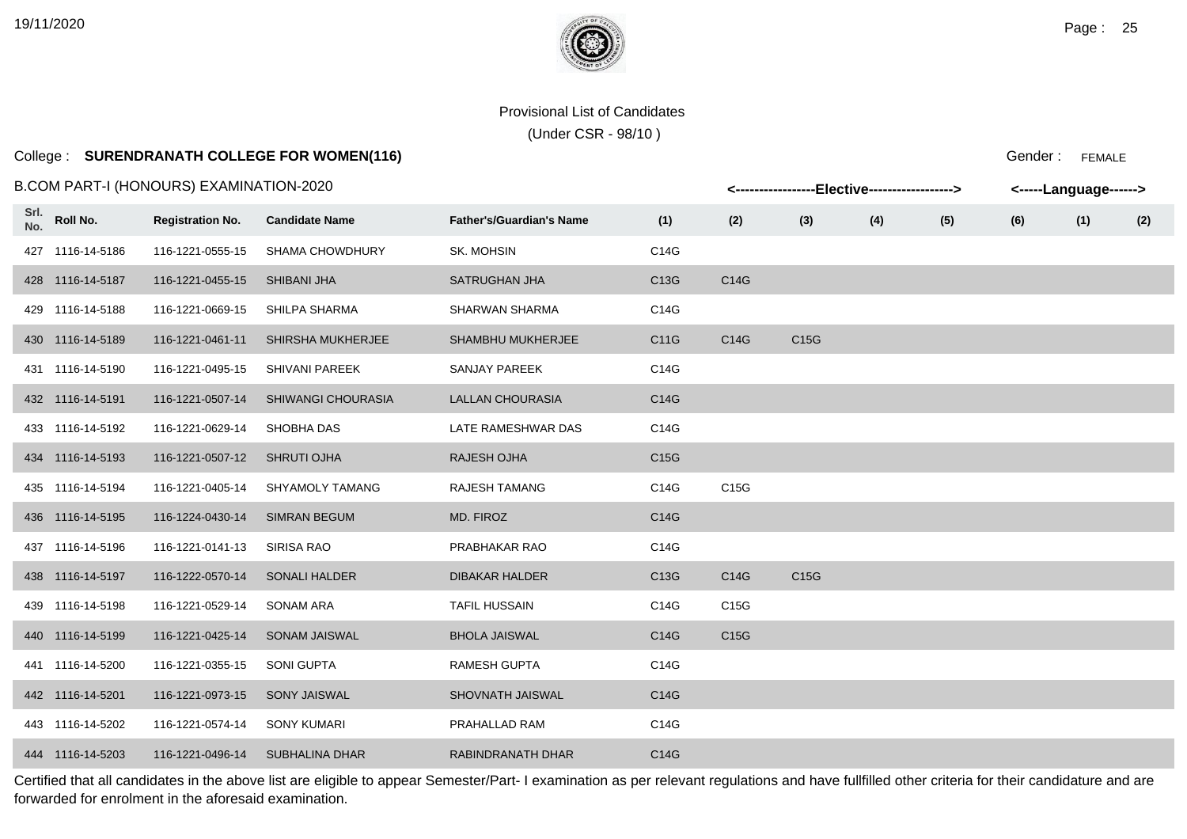(Under CSR - 98/10 )

### College : **SURENDRANATH COLLEGE FOR WOMEN(116)**

### B.COM PART-I (HONOURS) EXAMINATION-2020

| 3.COM PART-I (HONOURS) EXAMINATION-2020 |                  |                         |                           |                                 | <-----------------Elective-----------------><br><-----Language------> |      |                   |     |     |     |     |     |
|-----------------------------------------|------------------|-------------------------|---------------------------|---------------------------------|-----------------------------------------------------------------------|------|-------------------|-----|-----|-----|-----|-----|
| Srl.<br>No.                             | Roll No.         | <b>Registration No.</b> | <b>Candidate Name</b>     | <b>Father's/Guardian's Name</b> | (1)                                                                   | (2)  | (3)               | (4) | (5) | (6) | (1) | (2) |
|                                         | 427 1116-14-5186 | 116-1221-0555-15        | <b>SHAMA CHOWDHURY</b>    | SK. MOHSIN                      | C14G                                                                  |      |                   |     |     |     |     |     |
|                                         | 428 1116-14-5187 | 116-1221-0455-15        | <b>SHIBANI JHA</b>        | <b>SATRUGHAN JHA</b>            | C13G                                                                  | C14G |                   |     |     |     |     |     |
|                                         | 429 1116-14-5188 | 116-1221-0669-15        | SHILPA SHARMA             | SHARWAN SHARMA                  | C14G                                                                  |      |                   |     |     |     |     |     |
|                                         | 430 1116-14-5189 | 116-1221-0461-11        | <b>SHIRSHA MUKHERJEE</b>  | <b>SHAMBHU MUKHERJEE</b>        | C11G                                                                  | C14G | C <sub>15</sub> G |     |     |     |     |     |
|                                         | 431 1116-14-5190 | 116-1221-0495-15        | <b>SHIVANI PAREEK</b>     | SANJAY PAREEK                   | C14G                                                                  |      |                   |     |     |     |     |     |
|                                         | 432 1116-14-5191 | 116-1221-0507-14        | <b>SHIWANGI CHOURASIA</b> | <b>LALLAN CHOURASIA</b>         | C14G                                                                  |      |                   |     |     |     |     |     |
|                                         | 433 1116-14-5192 | 116-1221-0629-14        | SHOBHA DAS                | LATE RAMESHWAR DAS              | C14G                                                                  |      |                   |     |     |     |     |     |
|                                         | 434 1116-14-5193 | 116-1221-0507-12        | <b>SHRUTI OJHA</b>        | <b>RAJESH OJHA</b>              | C15G                                                                  |      |                   |     |     |     |     |     |
|                                         | 435 1116-14-5194 | 116-1221-0405-14        | <b>SHYAMOLY TAMANG</b>    | <b>RAJESH TAMANG</b>            | C14G                                                                  | C15G |                   |     |     |     |     |     |
|                                         | 436 1116-14-5195 | 116-1224-0430-14        | <b>SIMRAN BEGUM</b>       | MD. FIROZ                       | C14G                                                                  |      |                   |     |     |     |     |     |
|                                         | 437 1116-14-5196 | 116-1221-0141-13        | <b>SIRISA RAO</b>         | PRABHAKAR RAO                   | C14G                                                                  |      |                   |     |     |     |     |     |
|                                         | 438 1116-14-5197 | 116-1222-0570-14        | <b>SONALI HALDER</b>      | <b>DIBAKAR HALDER</b>           | C13G                                                                  | C14G | C <sub>15</sub> G |     |     |     |     |     |
|                                         | 439 1116-14-5198 | 116-1221-0529-14        | <b>SONAM ARA</b>          | <b>TAFIL HUSSAIN</b>            | C14G                                                                  | C15G |                   |     |     |     |     |     |
|                                         | 440 1116-14-5199 | 116-1221-0425-14        | <b>SONAM JAISWAL</b>      | <b>BHOLA JAISWAL</b>            | C14G                                                                  | C15G |                   |     |     |     |     |     |
|                                         | 441 1116-14-5200 | 116-1221-0355-15        | <b>SONI GUPTA</b>         | <b>RAMESH GUPTA</b>             | C14G                                                                  |      |                   |     |     |     |     |     |
|                                         | 442 1116-14-5201 | 116-1221-0973-15        | <b>SONY JAISWAL</b>       | SHOVNATH JAISWAL                | C14G                                                                  |      |                   |     |     |     |     |     |
|                                         | 443 1116-14-5202 | 116-1221-0574-14        | <b>SONY KUMARI</b>        | PRAHALLAD RAM                   | C14G                                                                  |      |                   |     |     |     |     |     |
|                                         | 444 1116-14-5203 | 116-1221-0496-14        | SUBHALINA DHAR            | RABINDRANATH DHAR               | C14G                                                                  |      |                   |     |     |     |     |     |

Certified that all candidates in the above list are eligible to appear Semester/Part- I examination as per relevant regulations and have fullfilled other criteria for their candidature and are forwarded for enrolment in the aforesaid examination.